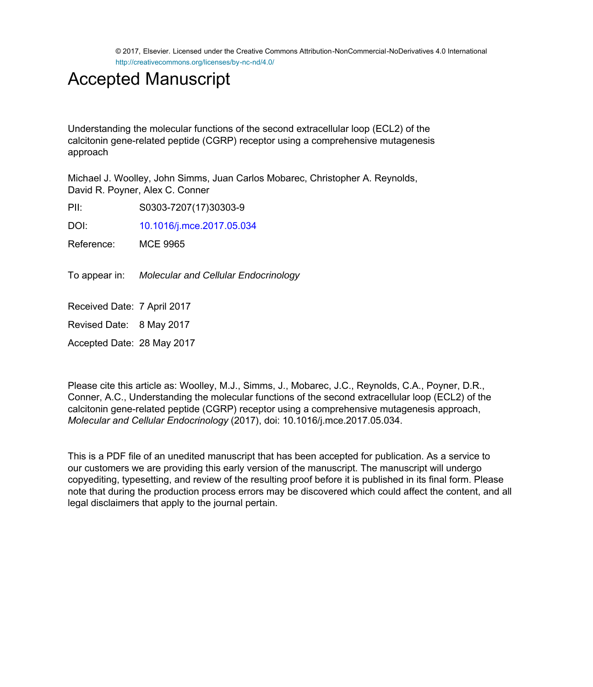© 2017, Elsevier. Licensed under the Creative Commons Attribution-NonCommercial-NoDerivatives 4.0 International http://creativecommons.org/licenses/by-nc-nd/4.0/

# Accepted Manuscript

Understanding the molecular functions of the second extracellular loop (ECL2) of the calcitonin gene-related peptide (CGRP) receptor using a comprehensive mutagenesis approach

Michael J. Woolley, John Simms, Juan Carlos Mobarec, Christopher A. Reynolds, David R. Poyner, Alex C. Conner

PII: S0303-7207(17)30303-9

DOI: [10.1016/j.mce.2017.05.034](http://dx.doi.org/10.1016/j.mce.2017.05.034)

Reference: MCE 9965

To appear in: Molecular and Cellular Endocrinology

Received Date: 7 April 2017

Revised Date: 8 May 2017

Accepted Date: 28 May 2017

Please cite this article as: Woolley, M.J., Simms, J., Mobarec, J.C., Reynolds, C.A., Poyner, D.R., Conner, A.C., Understanding the molecular functions of the second extracellular loop (ECL2) of the calcitonin gene-related peptide (CGRP) receptor using a comprehensive mutagenesis approach, *Molecular and Cellular Endocrinology* (2017), doi: 10.1016/j.mce.2017.05.034.

This is a PDF file of an unedited manuscript that has been accepted for publication. As a service to our customers we are providing this early version of the manuscript. The manuscript will undergo copyediting, typesetting, and review of the resulting proof before it is published in its final form. Please note that during the production process errors may be discovered which could affect the content, and all legal disclaimers that apply to the journal pertain.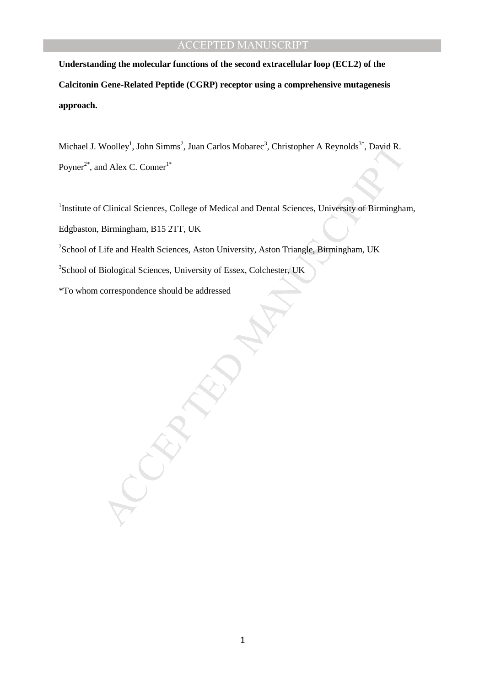**Understanding the molecular functions of the second extracellular loop (ECL2) of the Calcitonin Gene-Related Peptide (CGRP) receptor using a comprehensive mutagenesis approach.** 

Woolley', John Simms', Juan Carlos Mobaree', Christopher A Reynolds'', David R.<br>
Id Alex C. Conner<sup>1</sup><br>
Clinical Sciences, College of Medical and Dental Sciences, University of Birmingha<br>
Birmingham, B15 2TT, UK<br>
Life and H Michael J. Woolley<sup>1</sup>, John Simms<sup>2</sup>, Juan Carlos Mobarec<sup>3</sup>, Christopher A Reynolds<sup>3\*</sup>, David R. Poyner<sup>2\*</sup>, and Alex C. Conner<sup>1\*</sup>

<sup>1</sup>Institute of Clinical Sciences, College of Medical and Dental Sciences, University of Birmingham, Edgbaston, Birmingham, B15 2TT, UK

<sup>2</sup>School of Life and Health Sciences, Aston University, Aston Triangle, Birmingham, UK

<sup>3</sup>School of Biological Sciences, University of Essex, Colchester, UK

\*To whom correspondence should be addressed

1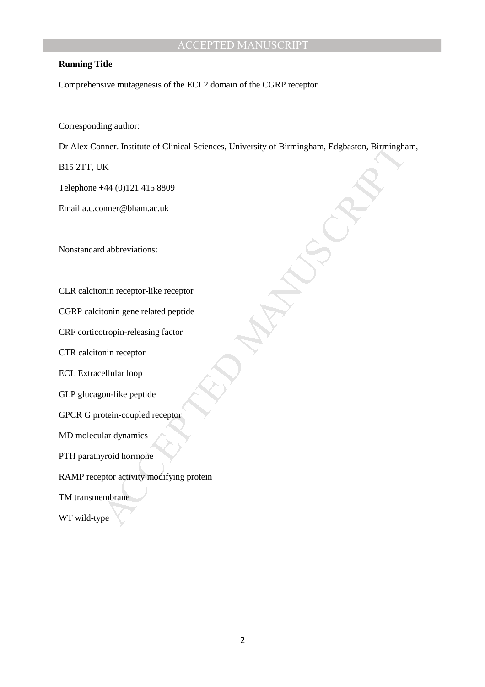#### **Running Title**

Comprehensive mutagenesis of the ECL2 domain of the CGRP receptor

Corresponding author:

nner. Institute of Clinical Sciences, University of Birmingham, Edgbaston, Birmingham<br>VK<br>144 (0)121 415 8809<br>nmer@bham.a.c.uk<br>d abbreviations:<br>which receptor-like receptor<br>tonin gene related peptide<br>typin-releasing factor<br> Dr Alex Conner. Institute of Clinical Sciences, University of Birmingham, Edgbaston, Birmingham,

B15 2TT, UK

Telephone +44 (0)121 415 8809

Email a.c.conner@bham.ac.uk

Nonstandard abbreviations:

CLR calcitonin receptor-like receptor

CGRP calcitonin gene related peptide

CRF corticotropin-releasing factor

CTR calcitonin receptor

ECL Extracellular loop

GLP glucagon-like peptide

GPCR G protein-coupled receptor

MD molecular dynamics

PTH parathyroid hormone

RAMP receptor activity modifying protein

TM transmembrane

WT wild-type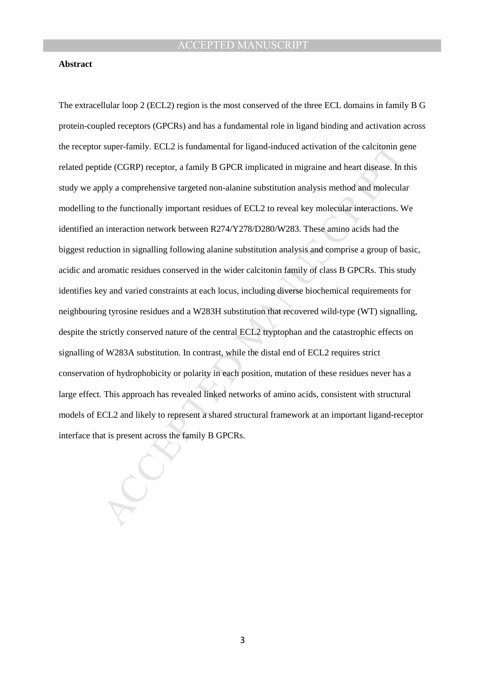#### **Abstract**

super-family. ECL2 is fundamental for ligand-induced activation of the calcitonin geode (CGRP) receptor, a family B GPCR implicated in migraine and heart disease. In the functionally important residues of ECL2 to reveal ke The extracellular loop 2 (ECL2) region is the most conserved of the three ECL domains in family B G protein-coupled receptors (GPCRs) and has a fundamental role in ligand binding and activation across the receptor super-family. ECL2 is fundamental for ligand-induced activation of the calcitonin gene related peptide (CGRP) receptor, a family B GPCR implicated in migraine and heart disease. In this study we apply a comprehensive targeted non-alanine substitution analysis method and molecular modelling to the functionally important residues of ECL2 to reveal key molecular interactions. We identified an interaction network between R274/Y278/D280/W283. These amino acids had the biggest reduction in signalling following alanine substitution analysis and comprise a group of basic, acidic and aromatic residues conserved in the wider calcitonin family of class B GPCRs. This study identifies key and varied constraints at each locus, including diverse biochemical requirements for neighbouring tyrosine residues and a W283H substitution that recovered wild-type (WT) signalling, despite the strictly conserved nature of the central ECL2 tryptophan and the catastrophic effects on signalling of W283A substitution. In contrast, while the distal end of ECL2 requires strict conservation of hydrophobicity or polarity in each position, mutation of these residues never has a large effect. This approach has revealed linked networks of amino acids, consistent with structural models of ECL2 and likely to represent a shared structural framework at an important ligand-receptor interface that is present across the family B GPCRs.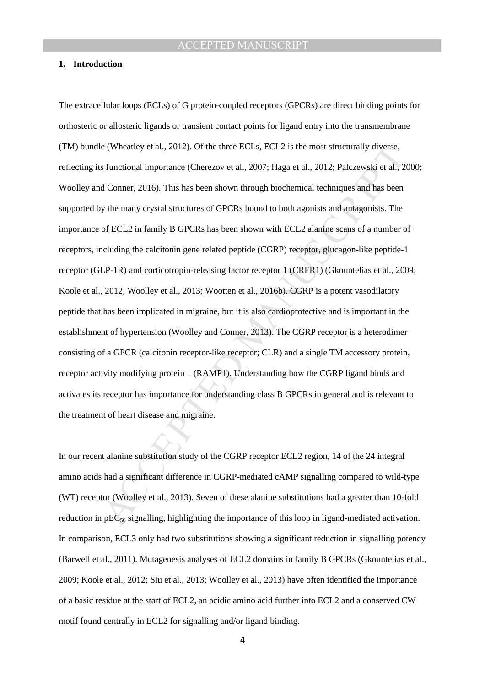#### **1. Introduction**

e (Wheatley et al., 2012). Of the three ECLs, ECL2 is the most structurally diverse,<br>
s functional importance (Cherezov et al., 2007; Haga et al., 2012; Palezewski et al., 2<br>
d Conner, 2016). This has been shown through bi The extracellular loops (ECLs) of G protein-coupled receptors (GPCRs) are direct binding points for orthosteric or allosteric ligands or transient contact points for ligand entry into the transmembrane (TM) bundle (Wheatley et al., 2012). Of the three ECLs, ECL2 is the most structurally diverse, reflecting its functional importance (Cherezov et al., 2007; Haga et al., 2012; Palczewski et al., 2000; Woolley and Conner, 2016). This has been shown through biochemical techniques and has been supported by the many crystal structures of GPCRs bound to both agonists and antagonists. The importance of ECL2 in family B GPCRs has been shown with ECL2 alanine scans of a number of receptors, including the calcitonin gene related peptide (CGRP) receptor, glucagon-like peptide-1 receptor (GLP-1R) and corticotropin-releasing factor receptor 1 (CRFR1) (Gkountelias et al., 2009; Koole et al., 2012; Woolley et al., 2013; Wootten et al., 2016b). CGRP is a potent vasodilatory peptide that has been implicated in migraine, but it is also cardioprotective and is important in the establishment of hypertension (Woolley and Conner, 2013). The CGRP receptor is a heterodimer consisting of a GPCR (calcitonin receptor-like receptor; CLR) and a single TM accessory protein, receptor activity modifying protein 1 (RAMP1). Understanding how the CGRP ligand binds and activates its receptor has importance for understanding class B GPCRs in general and is relevant to the treatment of heart disease and migraine.

In our recent alanine substitution study of the CGRP receptor ECL2 region, 14 of the 24 integral amino acids had a significant difference in CGRP-mediated cAMP signalling compared to wild-type (WT) receptor (Woolley et al., 2013). Seven of these alanine substitutions had a greater than 10-fold reduction in  $pEC_{50}$  signalling, highlighting the importance of this loop in ligand-mediated activation. In comparison, ECL3 only had two substitutions showing a significant reduction in signalling potency (Barwell et al., 2011). Mutagenesis analyses of ECL2 domains in family B GPCRs (Gkountelias et al., 2009; Koole et al., 2012; Siu et al., 2013; Woolley et al., 2013) have often identified the importance of a basic residue at the start of ECL2, an acidic amino acid further into ECL2 and a conserved CW motif found centrally in ECL2 for signalling and/or ligand binding.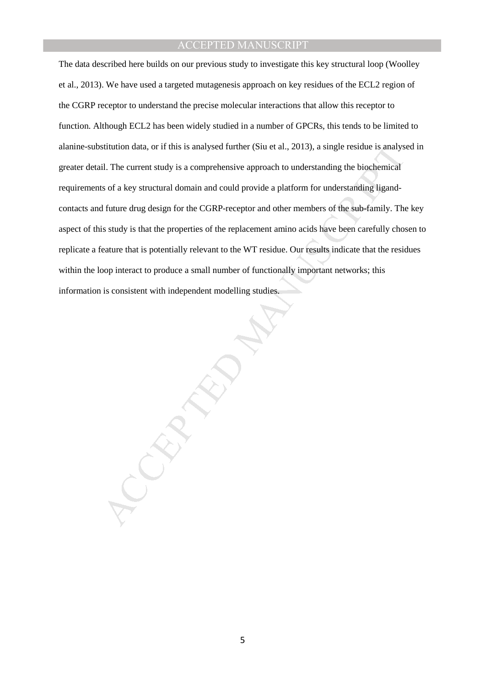sitution data, or if this is analysed further (Siu et al., 2013), a single residue is analys<br>il. The current study is a comprehensive approach to understanding the biochemical<br>is of a key structural domain and could provid The data described here builds on our previous study to investigate this key structural loop (Woolley et al., 2013). We have used a targeted mutagenesis approach on key residues of the ECL2 region of the CGRP receptor to understand the precise molecular interactions that allow this receptor to function. Although ECL2 has been widely studied in a number of GPCRs, this tends to be limited to alanine-substitution data, or if this is analysed further (Siu et al., 2013), a single residue is analysed in greater detail. The current study is a comprehensive approach to understanding the biochemical requirements of a key structural domain and could provide a platform for understanding ligandcontacts and future drug design for the CGRP-receptor and other members of the sub-family. The key aspect of this study is that the properties of the replacement amino acids have been carefully chosen to replicate a feature that is potentially relevant to the WT residue. Our results indicate that the residues within the loop interact to produce a small number of functionally important networks; this information is consistent with independent modelling studies.

5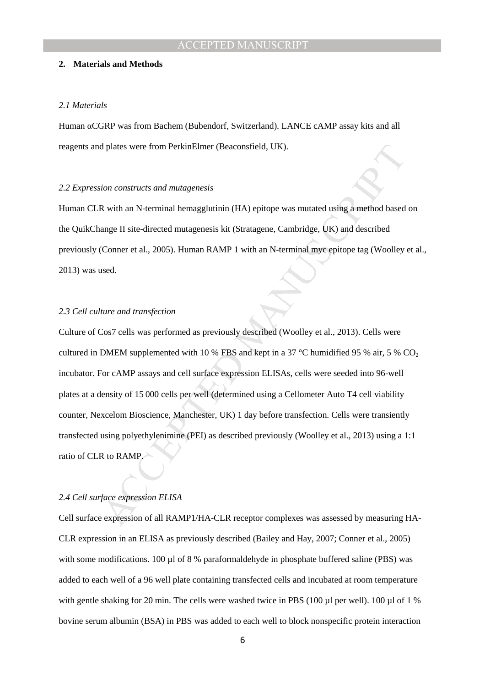#### **2. Materials and Methods**

#### *2.1 Materials*

Human αCGRP was from Bachem (Bubendorf, Switzerland). LANCE cAMP assay kits and all reagents and plates were from PerkinElmer (Beaconsfield, UK).

#### *2.2 Expression constructs and mutagenesis*

Human CLR with an N-terminal hemagglutinin (HA) epitope was mutated using a method based on the QuikChange II site-directed mutagenesis kit (Stratagene, Cambridge, UK) and described previously (Conner et al., 2005). Human RAMP 1 with an N-terminal myc epitope tag (Woolley et al., 2013) was used.

#### *2.3 Cell culture and transfection*

d plates were from PerkinElmer (Beaconsfield, UK).<br>
ion constructs and mutagenesis<br>
R with an N-terminal hemagglutinin (HA) epitope was mutated using a method based<br>
ange II site-directed mutagenesis kit (Stratagene, Cambr Culture of Cos7 cells was performed as previously described (Woolley et al., 2013). Cells were cultured in DMEM supplemented with 10 % FBS and kept in a 37 °C humidified 95 % air, 5 % CO<sub>2</sub> incubator. For cAMP assays and cell surface expression ELISAs, cells were seeded into 96-well plates at a density of 15 000 cells per well (determined using a Cellometer Auto T4 cell viability counter, Nexcelom Bioscience, Manchester, UK) 1 day before transfection. Cells were transiently transfected using polyethylenimine (PEI) as described previously (Woolley et al., 2013) using a 1:1 ratio of CLR to RAMP.

#### *2.4 Cell surface expression ELISA*

Cell surface expression of all RAMP1/HA-CLR receptor complexes was assessed by measuring HA-CLR expression in an ELISA as previously described (Bailey and Hay, 2007; Conner et al., 2005) with some modifications. 100 µl of 8 % paraformaldehyde in phosphate buffered saline (PBS) was added to each well of a 96 well plate containing transfected cells and incubated at room temperature with gentle shaking for 20 min. The cells were washed twice in PBS (100  $\mu$ l per well). 100  $\mu$ l of 1 % bovine serum albumin (BSA) in PBS was added to each well to block nonspecific protein interaction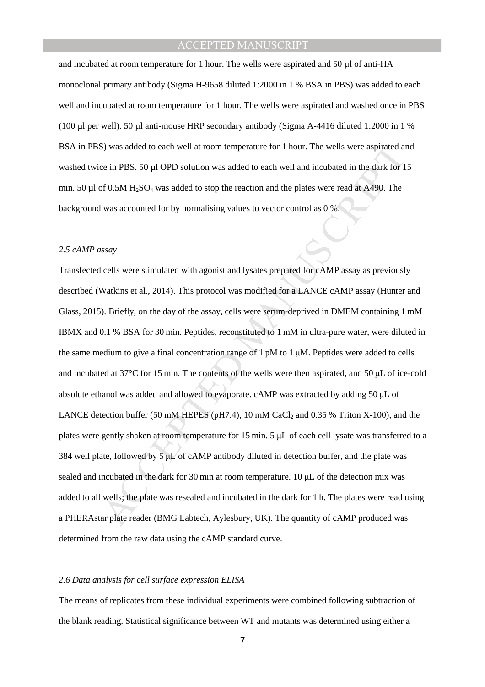and incubated at room temperature for 1 hour. The wells were aspirated and 50  $\mu$ l of anti-HA monoclonal primary antibody (Sigma H-9658 diluted 1:2000 in 1 % BSA in PBS) was added to each well and incubated at room temperature for 1 hour. The wells were aspirated and washed once in PBS (100 µl per well). 50 µl anti-mouse HRP secondary antibody (Sigma A-4416 diluted 1:2000 in 1 % BSA in PBS) was added to each well at room temperature for 1 hour. The wells were aspirated and washed twice in PBS. 50 µl OPD solution was added to each well and incubated in the dark for 15 min. 50  $\mu$ l of 0.5M H<sub>2</sub>SO<sub>4</sub> was added to stop the reaction and the plates were read at A490. The background was accounted for by normalising values to vector control as 0 %.

#### *2.5 cAMP assay*

S) was added to each well at room temperature for 1 hour. The wells were aspirated at<br>e in PBS. 50 µI OPD solution was added to each well and incubated in the dark for 1<br>of 0.5M H<sub>2</sub>SO<sub>4</sub> was added to stop the reaction an Transfected cells were stimulated with agonist and lysates prepared for cAMP assay as previously described (Watkins et al., 2014). This protocol was modified for a LANCE cAMP assay (Hunter and Glass, 2015). Briefly, on the day of the assay, cells were serum-deprived in DMEM containing 1 mM IBMX and 0.1 % BSA for 30 min. Peptides, reconstituted to 1 mM in ultra-pure water, were diluted in the same medium to give a final concentration range of  $1 \text{ pM}$  to  $1 \text{ µM}$ . Peptides were added to cells and incubated at 37°C for 15 min. The contents of the wells were then aspirated, and 50 µL of ice-cold absolute ethanol was added and allowed to evaporate. cAMP was extracted by adding 50 µL of LANCE detection buffer (50 mM HEPES (pH7.4), 10 mM CaCl<sub>2</sub> and 0.35 % Triton X-100), and the plates were gently shaken at room temperature for 15 min. 5 µL of each cell lysate was transferred to a 384 well plate, followed by 5 µL of cAMP antibody diluted in detection buffer, and the plate was sealed and incubated in the dark for 30 min at room temperature. 10  $\mu$ L of the detection mix was added to all wells; the plate was resealed and incubated in the dark for 1 h. The plates were read using a PHERAstar plate reader (BMG Labtech, Aylesbury, UK). The quantity of cAMP produced was determined from the raw data using the cAMP standard curve.

#### *2.6 Data analysis for cell surface expression ELISA*

The means of replicates from these individual experiments were combined following subtraction of the blank reading. Statistical significance between WT and mutants was determined using either a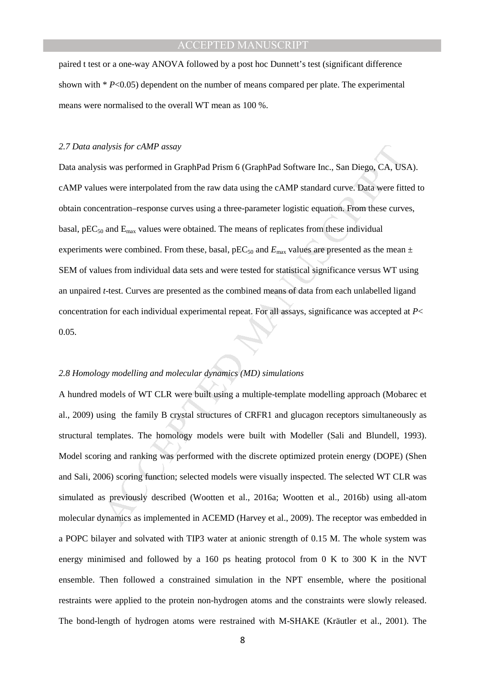paired t test or a one-way ANOVA followed by a post hoc Dunnett's test (significant difference shown with  $* P<0.05$ ) dependent on the number of means compared per plate. The experimental means were normalised to the overall WT mean as 100 %.

#### *2.7 Data analysis for cAMP assay*

adysis for cAMP assay<br>si was performed in GraphPad Prism 6 (GraphPad Software Inc., San Diego, CA, US<br>si were interpolated from the raw data using the cAMP standard curve. Data were fitt<br>entration-response curves using a Data analysis was performed in GraphPad Prism 6 (GraphPad Software Inc., San Diego, CA, USA). cAMP values were interpolated from the raw data using the cAMP standard curve. Data were fitted to obtain concentration–response curves using a three-parameter logistic equation. From these curves, basal, pEC<sub>50</sub> and  $E_{\text{max}}$  values were obtained. The means of replicates from these individual experiments were combined. From these, basal,  $pEC_{50}$  and  $E_{\text{max}}$  values are presented as the mean  $\pm$ SEM of values from individual data sets and were tested for statistical significance versus WT using an unpaired *t*-test. Curves are presented as the combined means of data from each unlabelled ligand concentration for each individual experimental repeat. For all assays, significance was accepted at *P*< 0.05.

#### *2.8 Homology modelling and molecular dynamics (MD) simulations*

A hundred models of WT CLR were built using a multiple-template modelling approach (Mobarec et al., 2009) using the family B crystal structures of CRFR1 and glucagon receptors simultaneously as structural templates. The homology models were built with Modeller (Sali and Blundell, 1993). Model scoring and ranking was performed with the discrete optimized protein energy (DOPE) (Shen and Sali, 2006) scoring function; selected models were visually inspected. The selected WT CLR was simulated as previously described (Wootten et al., 2016a; Wootten et al., 2016b) using all-atom molecular dynamics as implemented in ACEMD (Harvey et al., 2009). The receptor was embedded in a POPC bilayer and solvated with TIP3 water at anionic strength of 0.15 M. The whole system was energy minimised and followed by a 160 ps heating protocol from 0 K to 300 K in the NVT ensemble. Then followed a constrained simulation in the NPT ensemble, where the positional restraints were applied to the protein non-hydrogen atoms and the constraints were slowly released. The bond-length of hydrogen atoms were restrained with M-SHAKE (Kräutler et al., 2001). The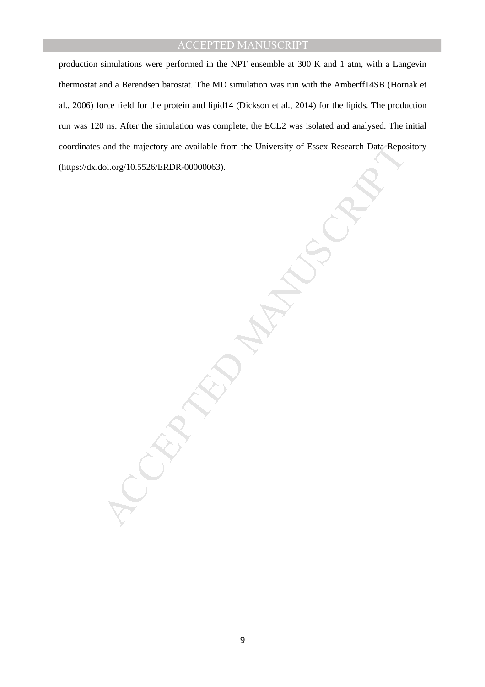production simulations were performed in the NPT ensemble at 300 K and 1 atm, with a Langevin thermostat and a Berendsen barostat. The MD simulation was run with the Amberff14SB (Hornak et al., 2006) force field for the protein and lipid14 (Dickson et al., 2014) for the lipids. The production run was 120 ns. After the simulation was complete, the ECL2 was isolated and analysed. The initial coordinates and the trajectory are available from the University of Essex Research Data Repository (https://dx.doi.org/10.5526/ERDR-00000063).

and the trajectory are available from the University of Essex Research Data Repo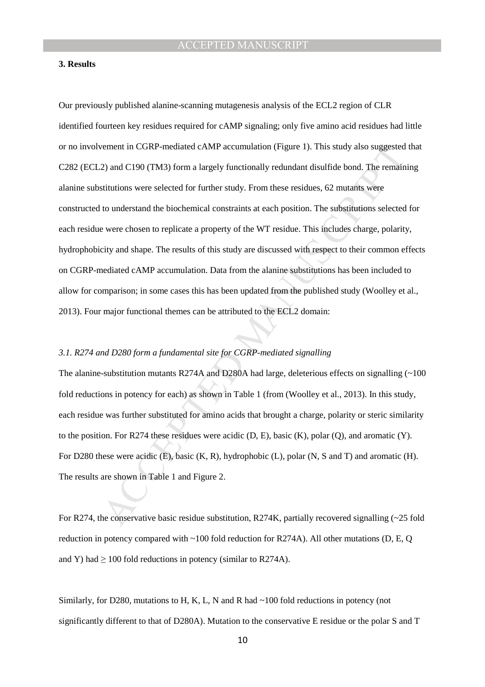#### **3. Results**

rement in CGRP-mediated cAMP accumulation (Figure 1). This study also suggested<br>2) and C190 (TM3) form a largely functionally redundant disulfide bond. The remain<br>situtions were selected for further study. From these resi Our previously published alanine-scanning mutagenesis analysis of the ECL2 region of CLR identified fourteen key residues required for cAMP signaling; only five amino acid residues had little or no involvement in CGRP-mediated cAMP accumulation (Figure 1). This study also suggested that C282 (ECL2) and C190 (TM3) form a largely functionally redundant disulfide bond. The remaining alanine substitutions were selected for further study. From these residues, 62 mutants were constructed to understand the biochemical constraints at each position. The substitutions selected for each residue were chosen to replicate a property of the WT residue. This includes charge, polarity, hydrophobicity and shape. The results of this study are discussed with respect to their common effects on CGRP-mediated cAMP accumulation. Data from the alanine substitutions has been included to allow for comparison; in some cases this has been updated from the published study (Woolley et al., 2013). Four major functional themes can be attributed to the ECL2 domain:

#### *3.1. R274 and D280 form a fundamental site for CGRP-mediated signalling*

The alanine-substitution mutants R274A and D280A had large, deleterious effects on signalling  $\sim 100$ fold reductions in potency for each) as shown in Table 1 (from (Woolley et al., 2013). In this study, each residue was further substituted for amino acids that brought a charge, polarity or steric similarity to the position. For R274 these residues were acidic (D, E), basic (K), polar (Q), and aromatic (Y). For D280 these were acidic (E), basic (K, R), hydrophobic (L), polar (N, S and T) and aromatic (H). The results are shown in Table 1 and Figure 2.

For R274, the conservative basic residue substitution, R274K, partially recovered signalling (~25 fold reduction in potency compared with ~100 fold reduction for R274A). All other mutations (D, E, Q and Y) had  $\geq 100$  fold reductions in potency (similar to R274A).

Similarly, for D280, mutations to H, K, L, N and R had ~100 fold reductions in potency (not significantly different to that of D280A). Mutation to the conservative E residue or the polar S and T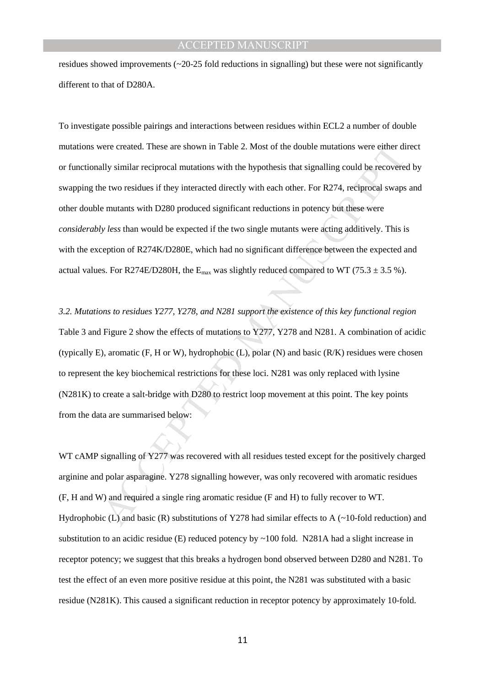residues showed improvements  $\left(\sim 20-25 \text{ fold reductions in signalling}\right)$  but these were not significantly different to that of D280A.

vere created. These are shown in Table 2. Most of the double mutations were either dily similar reciprocal mutations with the hypothesis that signalling could be recovere is two residues if they interacted directly with e To investigate possible pairings and interactions between residues within ECL2 a number of double mutations were created. These are shown in Table 2. Most of the double mutations were either direct or functionally similar reciprocal mutations with the hypothesis that signalling could be recovered by swapping the two residues if they interacted directly with each other. For R274, reciprocal swaps and other double mutants with D280 produced significant reductions in potency but these were *considerably less* than would be expected if the two single mutants were acting additively. This is with the exception of R274K/D280E, which had no significant difference between the expected and actual values. For R274E/D280H, the  $E_{max}$  was slightly reduced compared to WT (75.3  $\pm$  3.5 %).

*3.2. Mutations to residues Y277, Y278, and N281 support the existence of this key functional region* Table 3 and Figure 2 show the effects of mutations to Y277, Y278 and N281. A combination of acidic (typically E), aromatic  $(F, H \text{ or } W)$ , hydrophobic  $(L)$ , polar  $(N)$  and basic  $(R/K)$  residues were chosen to represent the key biochemical restrictions for these loci. N281 was only replaced with lysine (N281K) to create a salt-bridge with D280 to restrict loop movement at this point. The key points from the data are summarised below:

WT cAMP signalling of Y277 was recovered with all residues tested except for the positively charged arginine and polar asparagine. Y278 signalling however, was only recovered with aromatic residues (F, H and W) and required a single ring aromatic residue (F and H) to fully recover to WT. Hydrophobic (L) and basic (R) substitutions of Y278 had similar effects to A (~10-fold reduction) and substitution to an acidic residue (E) reduced potency by ~100 fold. N281A had a slight increase in receptor potency; we suggest that this breaks a hydrogen bond observed between D280 and N281. To test the effect of an even more positive residue at this point, the N281 was substituted with a basic residue (N281K). This caused a significant reduction in receptor potency by approximately 10-fold.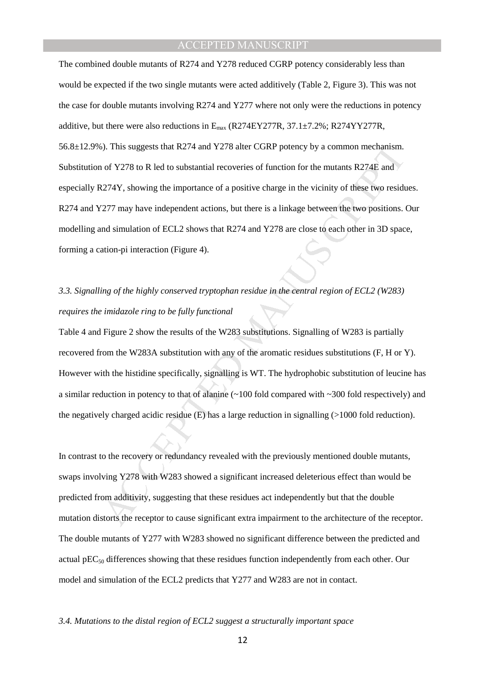b). This suggests that R274 and Y278 alter CGRP potency by a common mechanism.<br>
of Y278 to R led to substantial recoveries of function for the mutants R274E and<br>
274Y, showing the importance of a positive charge in the vi The combined double mutants of R274 and Y278 reduced CGRP potency considerably less than would be expected if the two single mutants were acted additively (Table 2, Figure 3). This was not the case for double mutants involving R274 and Y277 where not only were the reductions in potency additive, but there were also reductions in  $E_{\text{max}}$  (R274EY277R, 37.1 $\pm$ 7.2%; R274YY277R, 56.8±12.9%). This suggests that R274 and Y278 alter CGRP potency by a common mechanism. Substitution of Y278 to R led to substantial recoveries of function for the mutants R274E and especially R274Y, showing the importance of a positive charge in the vicinity of these two residues. R274 and Y277 may have independent actions, but there is a linkage between the two positions. Our modelling and simulation of ECL2 shows that R274 and Y278 are close to each other in 3D space, forming a cation-pi interaction (Figure 4).

## *3.3. Signalling of the highly conserved tryptophan residue in the central region of ECL2 (W283) requires the imidazole ring to be fully functional*

Table 4 and Figure 2 show the results of the W283 substitutions. Signalling of W283 is partially recovered from the W283A substitution with any of the aromatic residues substitutions (F, H or Y). However with the histidine specifically, signalling is WT. The hydrophobic substitution of leucine has a similar reduction in potency to that of alanine (~100 fold compared with ~300 fold respectively) and the negatively charged acidic residue (E) has a large reduction in signalling (>1000 fold reduction).

In contrast to the recovery or redundancy revealed with the previously mentioned double mutants, swaps involving Y278 with W283 showed a significant increased deleterious effect than would be predicted from additivity, suggesting that these residues act independently but that the double mutation distorts the receptor to cause significant extra impairment to the architecture of the receptor. The double mutants of Y277 with W283 showed no significant difference between the predicted and actual  $pEC_{50}$  differences showing that these residues function independently from each other. Our model and simulation of the ECL2 predicts that Y277 and W283 are not in contact.

*3.4. Mutations to the distal region of ECL2 suggest a structurally important space*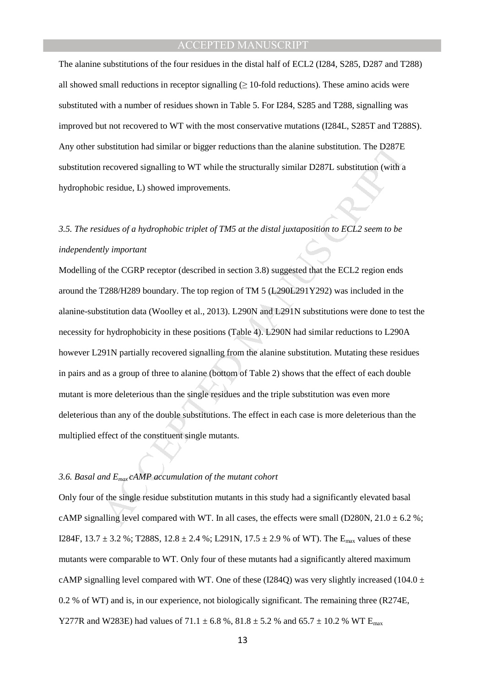The alanine substitutions of the four residues in the distal half of ECL2 (I284, S285, D287 and T288) all showed small reductions in receptor signalling  $(≥ 10$ -fold reductions). These amino acids were substituted with a number of residues shown in Table 5. For I284, S285 and T288, signalling was improved but not recovered to WT with the most conservative mutations (I284L, S285T and T288S). Any other substitution had similar or bigger reductions than the alanine substitution. The D287E substitution recovered signalling to WT while the structurally similar D287L substitution (with a hydrophobic residue, L) showed improvements.

# *3.5. The residues of a hydrophobic triplet of TM5 at the distal juxtaposition to ECL2 seem to be independently important*

ubstitution had similar or bigger reductions than the alanine substitution. The D287E<br>recovered signalling to WT while the structurally similar D287L substitution (with a<br>c residue, L) showed improvements.<br>idues of a hydr Modelling of the CGRP receptor (described in section 3.8) suggested that the ECL2 region ends around the T288/H289 boundary. The top region of TM 5 (L290L291Y292) was included in the alanine-substitution data (Woolley et al., 2013). L290N and L291N substitutions were done to test the necessity for hydrophobicity in these positions (Table 4). L290N had similar reductions to L290A however L291N partially recovered signalling from the alanine substitution. Mutating these residues in pairs and as a group of three to alanine (bottom of Table 2) shows that the effect of each double mutant is more deleterious than the single residues and the triple substitution was even more deleterious than any of the double substitutions. The effect in each case is more deleterious than the multiplied effect of the constituent single mutants.

#### *3.6. Basal and Emax cAMP accumulation of the mutant cohort*

Only four of the single residue substitution mutants in this study had a significantly elevated basal cAMP signalling level compared with WT. In all cases, the effects were small (D280N,  $21.0 \pm 6.2$ %; I284F,  $13.7 \pm 3.2$  %; T288S,  $12.8 \pm 2.4$  %; L291N,  $17.5 \pm 2.9$  % of WT). The E<sub>max</sub> values of these mutants were comparable to WT. Only four of these mutants had a significantly altered maximum cAMP signalling level compared with WT. One of these (I284Q) was very slightly increased (104.0  $\pm$ 0.2 % of WT) and is, in our experience, not biologically significant. The remaining three (R274E, Y277R and W283E) had values of 71.1  $\pm$  6.8 %, 81.8  $\pm$  5.2 % and 65.7  $\pm$  10.2 % WT E<sub>max</sub>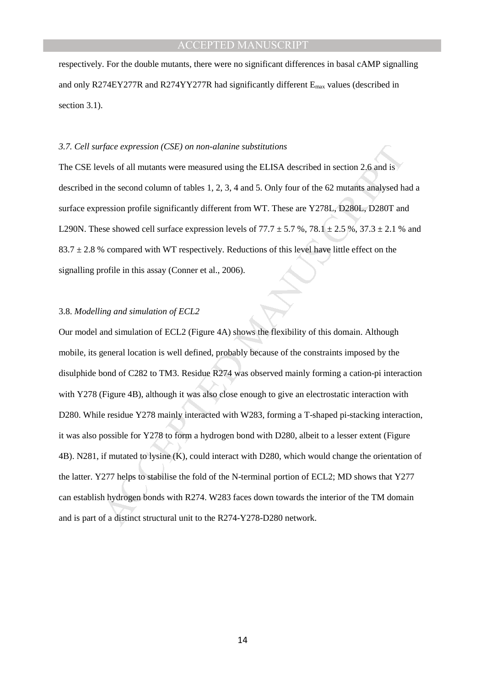respectively. For the double mutants, there were no significant differences in basal cAMP signalling and only R274EY277R and R274YY277R had significantly different  $E_{\text{max}}$  values (described in section 3.1).

#### *3.7. Cell surface expression (CSE) on non-alanine substitutions*

The CSE levels of all mutants were measured using the ELISA described in section 2.6 and is described in the second column of tables 1, 2, 3, 4 and 5. Only four of the 62 mutants analysed had a surface expression profile significantly different from WT. These are Y278L, D280L, D280T and L290N. These showed cell surface expression levels of  $77.7 \pm 5.7$  %,  $78.1 \pm 2.5$  %,  $37.3 \pm 2.1$  % and  $83.7 \pm 2.8$  % compared with WT respectively. Reductions of this level have little effect on the signalling profile in this assay (Conner et al., 2006).

#### 3.8. *Modelling and simulation of ECL2*

*rface expression (CSE) on non-alanine substitutions*<br>vels of all mutants were measured using the ELISA described in section 2,6 and is<br>vels of all mutants were measured using the ELISA described in section 2,6 and is<br>the Our model and simulation of ECL2 (Figure 4A) shows the flexibility of this domain. Although mobile, its general location is well defined, probably because of the constraints imposed by the disulphide bond of C282 to TM3. Residue R274 was observed mainly forming a cation-pi interaction with Y278 (Figure 4B), although it was also close enough to give an electrostatic interaction with D280. While residue Y278 mainly interacted with W283, forming a T-shaped pi-stacking interaction, it was also possible for Y278 to form a hydrogen bond with D280, albeit to a lesser extent (Figure 4B). N281, if mutated to lysine (K), could interact with D280, which would change the orientation of the latter. Y277 helps to stabilise the fold of the N-terminal portion of ECL2; MD shows that Y277 can establish hydrogen bonds with R274. W283 faces down towards the interior of the TM domain and is part of a distinct structural unit to the R274-Y278-D280 network.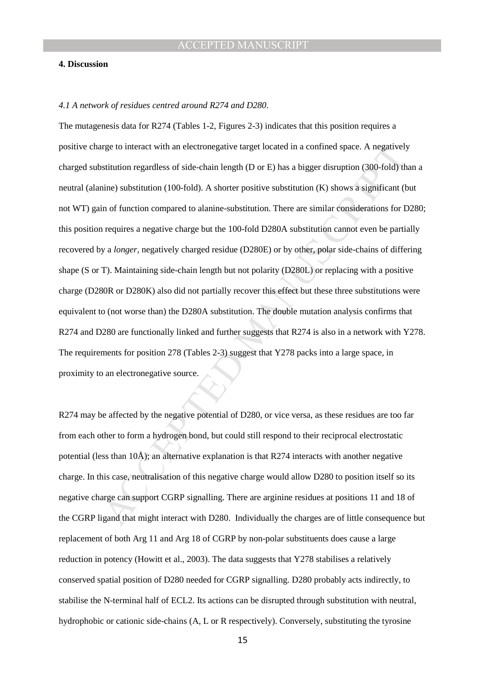#### **4. Discussion**

#### *4.1 A network of residues centred around R274 and D280.*

trige to interact with an electronegative target located in a confined space. A negatively<br>sitution regardless of side-chain length (D or E) has a bigger disruption (300-fold) the<br>interior symbilition (100-fold). A shorte The mutagenesis data for R274 (Tables 1-2, Figures 2-3) indicates that this position requires a positive charge to interact with an electronegative target located in a confined space. A negatively charged substitution regardless of side-chain length (D or E) has a bigger disruption (300-fold) than a neutral (alanine) substitution (100-fold). A shorter positive substitution (K) shows a significant (but not WT) gain of function compared to alanine-substitution. There are similar considerations for D280; this position requires a negative charge but the 100-fold D280A substitution cannot even be partially recovered by a *longer,* negatively charged residue (D280E) or by other, polar side-chains of differing shape (S or T). Maintaining side-chain length but not polarity (D280L) or replacing with a positive charge (D280R or D280K) also did not partially recover this effect but these three substitutions were equivalent to (not worse than) the D280A substitution. The double mutation analysis confirms that R274 and D280 are functionally linked and further suggests that R274 is also in a network with Y278. The requirements for position 278 (Tables 2-3) suggest that Y278 packs into a large space, in proximity to an electronegative source.

R274 may be affected by the negative potential of D280, or vice versa, as these residues are too far from each other to form a hydrogen bond, but could still respond to their reciprocal electrostatic potential (less than 10Å); an alternative explanation is that R274 interacts with another negative charge. In this case, neutralisation of this negative charge would allow D280 to position itself so its negative charge can support CGRP signalling. There are arginine residues at positions 11 and 18 of the CGRP ligand that might interact with D280. Individually the charges are of little consequence but replacement of both Arg 11 and Arg 18 of CGRP by non-polar substituents does cause a large reduction in potency (Howitt et al., 2003). The data suggests that Y278 stabilises a relatively conserved spatial position of D280 needed for CGRP signalling. D280 probably acts indirectly, to stabilise the N-terminal half of ECL2. Its actions can be disrupted through substitution with neutral, hydrophobic or cationic side-chains (A, L or R respectively). Conversely, substituting the tyrosine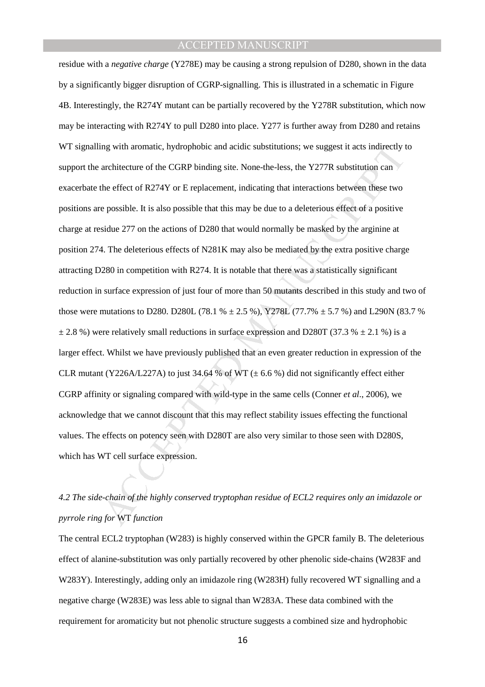mg with aromatic, hydrophobic and acidic substitutions; we suggest it acts indirectly the architecture of the CGRP binding site. None-the-less, the Y277R substitution can<br>the effect of R274Y or E replacement, indicating t residue with a *negative charge* (Y278E) may be causing a strong repulsion of D280, shown in the data by a significantly bigger disruption of CGRP-signalling. This is illustrated in a schematic in Figure 4B. Interestingly, the R274Y mutant can be partially recovered by the Y278R substitution, which now may be interacting with R274Y to pull D280 into place. Y277 is further away from D280 and retains WT signalling with aromatic, hydrophobic and acidic substitutions; we suggest it acts indirectly to support the architecture of the CGRP binding site. None-the-less, the Y277R substitution can exacerbate the effect of R274Y or E replacement, indicating that interactions between these two positions are possible. It is also possible that this may be due to a deleterious effect of a positive charge at residue 277 on the actions of D280 that would normally be masked by the arginine at position 274. The deleterious effects of N281K may also be mediated by the extra positive charge attracting D280 in competition with R274. It is notable that there was a statistically significant reduction in surface expression of just four of more than 50 mutants described in this study and two of those were mutations to D280. D280L (78.1 %  $\pm$  2.5 %), Y278L (77.7%  $\pm$  5.7 %) and L290N (83.7 %)  $\pm$  2.8 %) were relatively small reductions in surface expression and D280T (37.3 %  $\pm$  2.1 %) is a larger effect. Whilst we have previously published that an even greater reduction in expression of the CLR mutant (Y226A/L227A) to just 34.64 % of WT ( $\pm$  6.6 %) did not significantly effect either CGRP affinity or signaling compared with wild-type in the same cells (Conner *et al*., 2006), we acknowledge that we cannot discount that this may reflect stability issues effecting the functional values. The effects on potency seen with D280T are also very similar to those seen with D280S, which has WT cell surface expression.

## *4.2 The side-chain of the highly conserved tryptophan residue of ECL2 requires only an imidazole or pyrrole ring for* WT *function*

The central ECL2 tryptophan (W283) is highly conserved within the GPCR family B. The deleterious effect of alanine-substitution was only partially recovered by other phenolic side-chains (W283F and W283Y). Interestingly, adding only an imidazole ring (W283H) fully recovered WT signalling and a negative charge (W283E) was less able to signal than W283A. These data combined with the requirement for aromaticity but not phenolic structure suggests a combined size and hydrophobic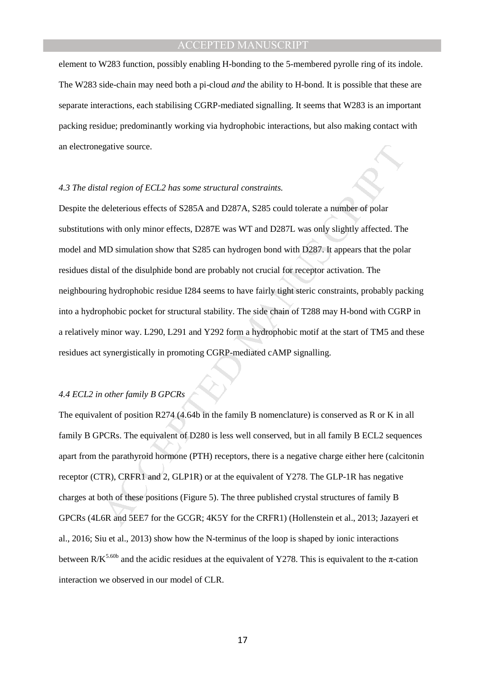element to W283 function, possibly enabling H-bonding to the 5-membered pyrolle ring of its indole. The W283 side-chain may need both a pi-cloud *and* the ability to H-bond. It is possible that these are separate interactions, each stabilising CGRP-mediated signalling. It seems that W283 is an important packing residue; predominantly working via hydrophobic interactions, but also making contact with an electronegative source.

#### *4.3 The distal region of ECL2 has some structural constraints.*

gative source.<br>
and region of ECL2 has some structural constraints.<br>
deleterious effects of S285A and D287A, S285 could tolerate a number of polar<br>
s with only minor effects, D287E was WT and D287L was only slightly affect Despite the deleterious effects of S285A and D287A, S285 could tolerate a number of polar substitutions with only minor effects, D287E was WT and D287L was only slightly affected. The model and MD simulation show that S285 can hydrogen bond with D287. It appears that the polar residues distal of the disulphide bond are probably not crucial for receptor activation. The neighbouring hydrophobic residue I284 seems to have fairly tight steric constraints, probably packing into a hydrophobic pocket for structural stability. The side chain of T288 may H-bond with CGRP in a relatively minor way. L290, L291 and Y292 form a hydrophobic motif at the start of TM5 and these residues act synergistically in promoting CGRP-mediated cAMP signalling.

#### *4.4 ECL2 in other family B GPCRs*

The equivalent of position R274 (4.64b in the family B nomenclature) is conserved as R or K in all family B GPCRs. The equivalent of D280 is less well conserved, but in all family B ECL2 sequences apart from the parathyroid hormone (PTH) receptors, there is a negative charge either here (calcitonin receptor (CTR), CRFR1 and 2, GLP1R) or at the equivalent of Y278. The GLP-1R has negative charges at both of these positions (Figure 5). The three published crystal structures of family B GPCRs (4L6R and 5EE7 for the GCGR; 4K5Y for the CRFR1) (Hollenstein et al., 2013; Jazayeri et al., 2016; Siu et al., 2013) show how the N-terminus of the loop is shaped by ionic interactions between  $R/K^{5.60b}$  and the acidic residues at the equivalent of Y278. This is equivalent to the  $\pi$ -cation interaction we observed in our model of CLR.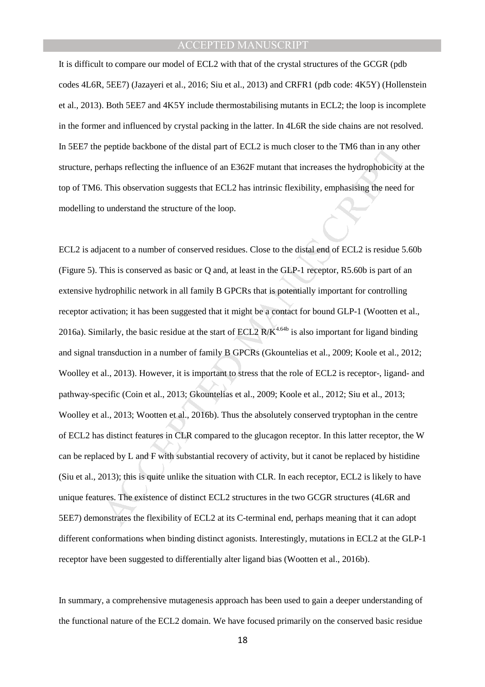It is difficult to compare our model of ECL2 with that of the crystal structures of the GCGR (pdb codes 4L6R, 5EE7) (Jazayeri et al., 2016; Siu et al., 2013) and CRFR1 (pdb code: 4K5Y) (Hollenstein et al., 2013). Both 5EE7 and 4K5Y include thermostabilising mutants in ECL2; the loop is incomplete in the former and influenced by crystal packing in the latter. In 4L6R the side chains are not resolved. In 5EE7 the peptide backbone of the distal part of ECL2 is much closer to the TM6 than in any other structure, perhaps reflecting the influence of an E362F mutant that increases the hydrophobicity at the top of TM6. This observation suggests that ECL2 has intrinsic flexibility, emphasising the need for modelling to understand the structure of the loop.

pepiide backbone of the distal part of ECL2 is much closer to the TM6 than in any of<br>rhaps reflecting the influence of an E362F mutant that increases the hydrophobicity is.<br>This observation suggests that ECL2 has intrinsi ECL2 is adjacent to a number of conserved residues. Close to the distal end of ECL2 is residue 5.60b (Figure 5). This is conserved as basic or Q and, at least in the GLP-1 receptor, R5.60b is part of an extensive hydrophilic network in all family B GPCRs that is potentially important for controlling receptor activation; it has been suggested that it might be a contact for bound GLP-1 (Wootten et al., 2016a). Similarly, the basic residue at the start of ECL2  $R/K<sup>4.64b</sup>$  is also important for ligand binding and signal transduction in a number of family B GPCRs (Gkountelias et al., 2009; Koole et al., 2012; Woolley et al., 2013). However, it is important to stress that the role of ECL2 is receptor-, ligand- and pathway-specific (Coin et al., 2013; Gkountelias et al., 2009; Koole et al., 2012; Siu et al., 2013; Woolley et al., 2013; Wootten et al., 2016b). Thus the absolutely conserved tryptophan in the centre of ECL2 has distinct features in CLR compared to the glucagon receptor. In this latter receptor, the W can be replaced by L and F with substantial recovery of activity, but it canot be replaced by histidine (Siu et al., 2013); this is quite unlike the situation with CLR. In each receptor, ECL2 is likely to have unique features. The existence of distinct ECL2 structures in the two GCGR structures (4L6R and 5EE7) demonstrates the flexibility of ECL2 at its C-terminal end, perhaps meaning that it can adopt different conformations when binding distinct agonists. Interestingly, mutations in ECL2 at the GLP-1 receptor have been suggested to differentially alter ligand bias (Wootten et al., 2016b).

In summary, a comprehensive mutagenesis approach has been used to gain a deeper understanding of the functional nature of the ECL2 domain. We have focused primarily on the conserved basic residue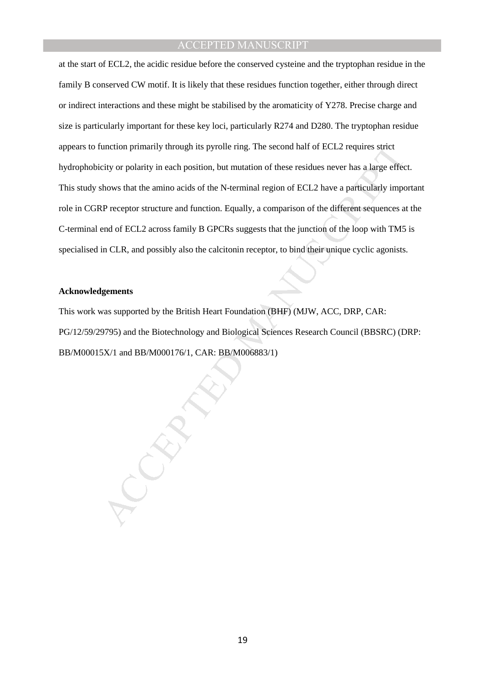unction primarily through its pyrolle ring. The second half of ECL2 requires strict<br>city or polarity in each position, but mutation of these residues never has a large effect<br>hows that the amino acids of the N-terminal reg at the start of ECL2, the acidic residue before the conserved cysteine and the tryptophan residue in the family B conserved CW motif. It is likely that these residues function together, either through direct or indirect interactions and these might be stabilised by the aromaticity of Y278. Precise charge and size is particularly important for these key loci, particularly R274 and D280. The tryptophan residue appears to function primarily through its pyrolle ring. The second half of ECL2 requires strict hydrophobicity or polarity in each position, but mutation of these residues never has a large effect. This study shows that the amino acids of the N-terminal region of ECL2 have a particularly important role in CGRP receptor structure and function. Equally, a comparison of the different sequences at the C-terminal end of ECL2 across family B GPCRs suggests that the junction of the loop with TM5 is specialised in CLR, and possibly also the calcitonin receptor, to bind their unique cyclic agonists.

#### **Acknowledgements**

This work was supported by the British Heart Foundation (BHF) (MJW, ACC, DRP, CAR: PG/12/59/29795) and the Biotechnology and Biological Sciences Research Council (BBSRC) (DRP: BB/M00015X/1 and BB/M000176/1, CAR: BB/M006883/1)

19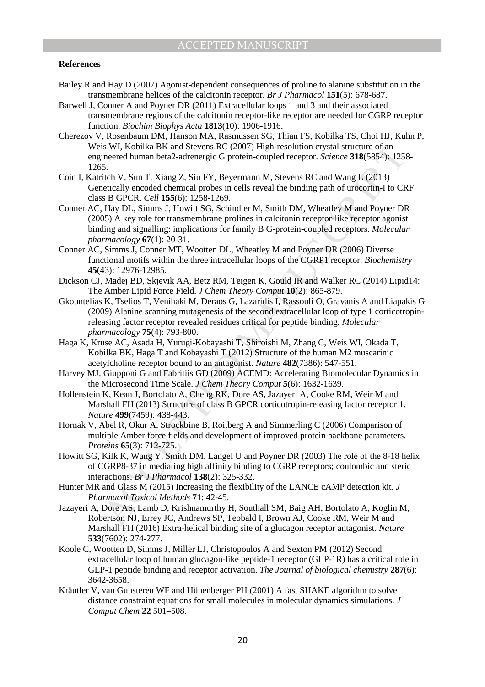### **References**

- Bailey R and Hay D (2007) Agonist-dependent consequences of proline to alanine substitution in the transmembrane helices of the calcitonin receptor. *Br J Pharmacol* **151**(5): 678-687.
- Barwell J, Conner A and Poyner DR (2011) Extracellular loops 1 and 3 and their associated transmembrane regions of the calcitonin receptor-like receptor are needed for CGRP receptor function. *Biochim Biophys Acta* **1813**(10): 1906-1916.
- Cherezov V, Rosenbaum DM, Hanson MA, Rasmussen SG, Thian FS, Kobilka TS, Choi HJ, Kuhn P, Weis WI, Kobilka BK and Stevens RC (2007) High-resolution crystal structure of an engineered human beta2-adrenergic G protein-coupled receptor. *Science* **318**(5854): 1258- 1265.
- Coin I, Katritch V, Sun T, Xiang Z, Siu FY, Beyermann M, Stevens RC and Wang L (2013) Genetically encoded chemical probes in cells reveal the binding path of urocortin-I to CRF class B GPCR. *Cell* **155**(6): 1258-1269.
- Conner AC, Hay DL, Simms J, Howitt SG, Schindler M, Smith DM, Wheatley M and Poyner DR (2005) A key role for transmembrane prolines in calcitonin receptor-like receptor agonist binding and signalling: implications for family B G-protein-coupled receptors. *Molecular pharmacology* **67**(1): 20-31.
- Conner AC, Simms J, Conner MT, Wootten DL, Wheatley M and Poyner DR (2006) Diverse functional motifs within the three intracellular loops of the CGRP1 receptor. *Biochemistry* **45**(43): 12976-12985.
- Dickson CJ, Madej BD, Skjevik AA, Betz RM, Teigen K, Gould IR and Walker RC (2014) Lipid14: The Amber Lipid Force Field. *J Chem Theory Comput* **10**(2): 865-879.
- is WI, Kobiika BK and Stevens RC (2007) High-resolution crystal stucture of an<br>ineered buman beta<sup>2</sup>-adrenergic G protein-coupled receptor. Science 3H8(5854): 125;<br>f.,<br>the V. Sun T, Xiang Z, Siu FY, Beyermann M, Stevens RC Gkountelias K, Tselios T, Venihaki M, Deraos G, Lazaridis I, Rassouli O, Gravanis A and Liapakis G (2009) Alanine scanning mutagenesis of the second extracellular loop of type 1 corticotropinreleasing factor receptor revealed residues critical for peptide binding. *Molecular pharmacology* **75**(4): 793-800.
- Haga K, Kruse AC, Asada H, Yurugi-Kobayashi T, Shiroishi M, Zhang C, Weis WI, Okada T, Kobilka BK, Haga T and Kobayashi T (2012) Structure of the human M2 muscarinic acetylcholine receptor bound to an antagonist. *Nature* **482**(7386): 547-551.
- Harvey MJ, Giupponi G and Fabritiis GD (2009) ACEMD: Accelerating Biomolecular Dynamics in the Microsecond Time Scale. *J Chem Theory Comput* **5**(6): 1632-1639.
- Hollenstein K, Kean J, Bortolato A, Cheng RK, Dore AS, Jazayeri A, Cooke RM, Weir M and Marshall FH (2013) Structure of class B GPCR corticotropin-releasing factor receptor 1. *Nature* **499**(7459): 438-443.
- Hornak V, Abel R, Okur A, Strockbine B, Roitberg A and Simmerling C (2006) Comparison of multiple Amber force fields and development of improved protein backbone parameters. *Proteins* **65**(3): 712-725.
- Howitt SG, Kilk K, Wang Y, Smith DM, Langel U and Poyner DR (2003) The role of the 8-18 helix of CGRP8-37 in mediating high affinity binding to CGRP receptors; coulombic and steric interactions. *Br J Pharmacol* **138**(2): 325-332.
- Hunter MR and Glass M (2015) Increasing the flexibility of the LANCE cAMP detection kit. *J Pharmacol Toxicol Methods* **71**: 42-45.
- Jazayeri A, Dore AS, Lamb D, Krishnamurthy H, Southall SM, Baig AH, Bortolato A, Koglin M, Robertson NJ, Errey JC, Andrews SP, Teobald I, Brown AJ, Cooke RM, Weir M and Marshall FH (2016) Extra-helical binding site of a glucagon receptor antagonist. *Nature* **533**(7602): 274-277.
- Koole C, Wootten D, Simms J, Miller LJ, Christopoulos A and Sexton PM (2012) Second extracellular loop of human glucagon-like peptide-1 receptor (GLP-1R) has a critical role in GLP-1 peptide binding and receptor activation. *The Journal of biological chemistry* **287**(6): 3642-3658.
- Kräutler V, van Gunsteren WF and Hünenberger PH (2001) A fast SHAKE algorithm to solve distance constraint equations for small molecules in molecular dynamics simulations. *J Comput Chem* **22** 501–508.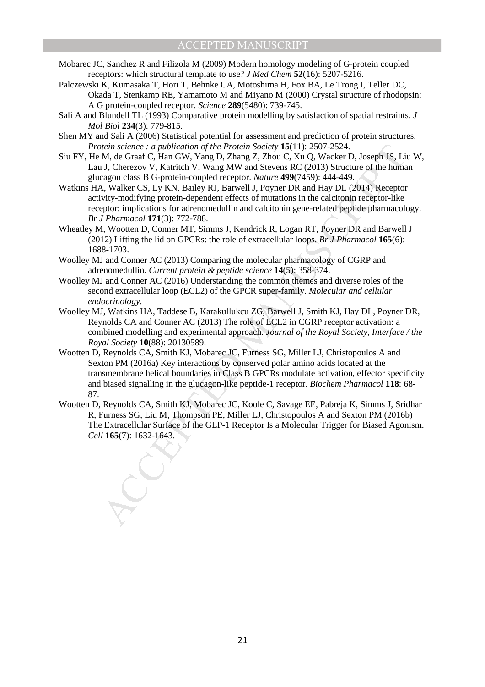- Mobarec JC, Sanchez R and Filizola M (2009) Modern homology modeling of G-protein coupled receptors: which structural template to use? *J Med Chem* **52**(16): 5207-5216.
- Palczewski K, Kumasaka T, Hori T, Behnke CA, Motoshima H, Fox BA, Le Trong I, Teller DC, Okada T, Stenkamp RE, Yamamoto M and Miyano M (2000) Crystal structure of rhodopsin: A G protein-coupled receptor. *Science* **289**(5480): 739-745.
- Sali A and Blundell TL (1993) Comparative protein modelling by satisfaction of spatial restraints. *J Mol Biol* **234**(3): 779-815.
- Shen MY and Sali A (2006) Statistical potential for assessment and prediction of protein structures. *Protein science : a publication of the Protein Society* **15**(11): 2507-2524.
- Siu FY, He M, de Graaf C, Han GW, Yang D, Zhang Z, Zhou C, Xu Q, Wacker D, Joseph JS, Liu W, Lau J, Cherezov V, Katritch V, Wang MW and Stevens RC (2013) Structure of the human glucagon class B G-protein-coupled receptor. *Nature* **499**(7459): 444-449.
- Watkins HA, Walker CS, Ly KN, Bailey RJ, Barwell J, Poyner DR and Hay DL (2014) Receptor activity-modifying protein-dependent effects of mutations in the calcitonin receptor-like receptor: implications for adrenomedullin and calcitonin gene-related peptide pharmacology. *Br J Pharmacol* **171**(3): 772-788.
- Wheatley M, Wootten D, Conner MT, Simms J, Kendrick R, Logan RT, Poyner DR and Barwell J (2012) Lifting the lid on GPCRs: the role of extracellular loops. *Br J Pharmacol* **165**(6): 1688-1703.
- Woolley MJ and Conner AC (2013) Comparing the molecular pharmacology of CGRP and adrenomedullin. *Current protein & peptide science* **14**(5): 358-374.
- Woolley MJ and Conner AC (2016) Understanding the common themes and diverse roles of the second extracellular loop (ECL2) of the GPCR super-family. *Molecular and cellular endocrinology*.
- Woolley MJ, Watkins HA, Taddese B, Karakullukcu ZG, Barwell J, Smith KJ, Hay DL, Poyner DR, Reynolds CA and Conner AC (2013) The role of ECL2 in CGRP receptor activation: a combined modelling and experimental approach. *Journal of the Royal Society, Interface / the Royal Society* **10**(88): 20130589.
- etein science : a publication of the Protein Society 15(1): 2507-2524.<br>M, de Graaf C, Han GW, Yang D, Zhang Z, Zhou C, Xu Q, Wacker D, Joseph IS, Li<br>1), Cherezov V, Katrich V, Wang NW and Stevens RC (2013) Structure of th Wootten D, Reynolds CA, Smith KJ, Mobarec JC, Furness SG, Miller LJ, Christopoulos A and Sexton PM (2016a) Key interactions by conserved polar amino acids located at the transmembrane helical boundaries in Class B GPCRs modulate activation, effector specificity and biased signalling in the glucagon-like peptide-1 receptor. *Biochem Pharmacol* **118**: 68- 87.
- Wootten D, Reynolds CA, Smith KJ, Mobarec JC, Koole C, Savage EE, Pabreja K, Simms J, Sridhar R, Furness SG, Liu M, Thompson PE, Miller LJ, Christopoulos A and Sexton PM (2016b) The Extracellular Surface of the GLP-1 Receptor Is a Molecular Trigger for Biased Agonism. *Cell* **165**(7): 1632-1643.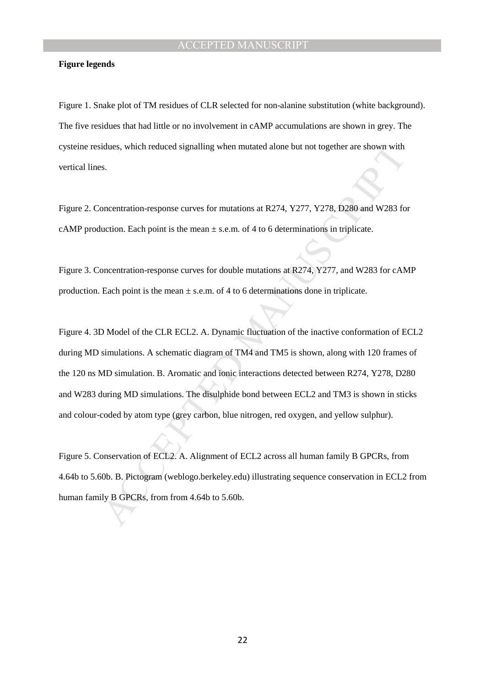#### **Figure legends**

Figure 1. Snake plot of TM residues of CLR selected for non-alanine substitution (white background). The five residues that had little or no involvement in cAMP accumulations are shown in grey. The cysteine residues, which reduced signalling when mutated alone but not together are shown with vertical lines.

Figure 2. Concentration-response curves for mutations at R274, Y277, Y278, D280 and W283 for cAMP production. Each point is the mean  $\pm$  s.e.m. of 4 to 6 determinations in triplicate.

Figure 3. Concentration-response curves for double mutations at R274, Y277, and W283 for cAMP production. Each point is the mean  $\pm$  s.e.m. of 4 to 6 determinations done in triplicate.

idues, which reduced signalling when mutated alone but not together are shown with<br>s.<br>S. Somewhether, which response curves for mutations at R274, Y277, Y278, D280 and W283 fo<br>uction. Each point is the mean  $\pm$  s.e.m. of Figure 4. 3D Model of the CLR ECL2. A. Dynamic fluctuation of the inactive conformation of ECL2 during MD simulations. A schematic diagram of TM4 and TM5 is shown, along with 120 frames of the 120 ns MD simulation. B. Aromatic and ionic interactions detected between R274, Y278, D280 and W283 during MD simulations. The disulphide bond between ECL2 and TM3 is shown in sticks and colour-coded by atom type (grey carbon, blue nitrogen, red oxygen, and yellow sulphur).

Figure 5. Conservation of ECL2. A. Alignment of ECL2 across all human family B GPCRs, from 4.64b to 5.60b. B. Pictogram (weblogo.berkeley.edu) illustrating sequence conservation in ECL2 from human family B GPCRs, from from 4.64b to 5.60b.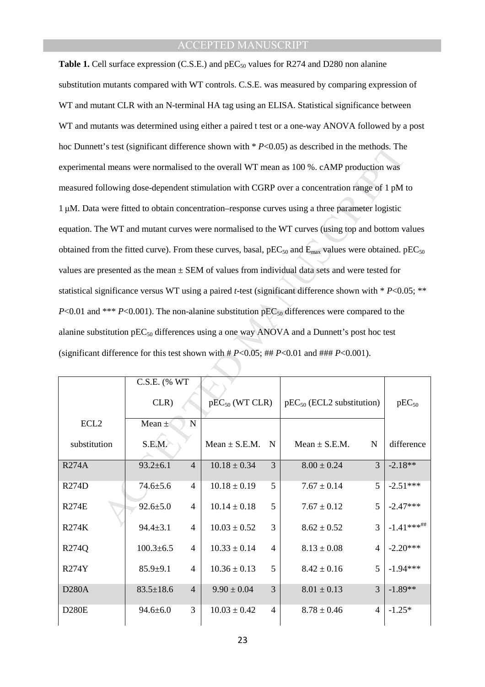C's test (significant difference shown with \*  $P$ <0.05) as described in the methods. The<br>
al means were normalised to the overall WT mean as 100 %. cAMP production was<br>
blowing dose-dependent stimulation with CGRP over a **Table 1.** Cell surface expression (C.S.E.) and pEC<sub>50</sub> values for R274 and D280 non alanine substitution mutants compared with WT controls. C.S.E. was measured by comparing expression of WT and mutant CLR with an N-terminal HA tag using an ELISA. Statistical significance between WT and mutants was determined using either a paired t test or a one-way ANOVA followed by a post hoc Dunnett's test (significant difference shown with \* *P*<0.05) as described in the methods. The experimental means were normalised to the overall WT mean as 100 %. cAMP production was measured following dose-dependent stimulation with CGRP over a concentration range of 1 pM to 1 µM. Data were fitted to obtain concentration–response curves using a three parameter logistic equation. The WT and mutant curves were normalised to the WT curves (using top and bottom values obtained from the fitted curve). From these curves, basal,  $pEC_{50}$  and  $E_{\text{max}}$  values were obtained.  $pEC_{50}$ values are presented as the mean  $\pm$  SEM of values from individual data sets and were tested for statistical significance versus WT using a paired *t*-test (significant difference shown with \* *P*<0.05; \*\* *P*<0.01 and \*\*\* *P*<0.001). The non-alanine substitution  $pEC_{50}$  differences were compared to the alanine substitution  $pEC_{50}$  differences using a one way ANOVA and a Dunnett's post hoc test (significant difference for this test shown with  $#P<0.05$ ;  $#H P<0.01$  and  $#H#P<0.001$ ).

|                  | C.S.E. (% WT                      |                     |                |                                |                |               |
|------------------|-----------------------------------|---------------------|----------------|--------------------------------|----------------|---------------|
|                  | CLR)                              | $pEC_{50}$ (WT CLR) |                | $pEC_{50}$ (ECL2 substitution) |                | $pEC_{50}$    |
| ECL <sub>2</sub> | $\mathbf N$<br>Mean $\pm$         |                     |                |                                |                |               |
| substitution     | S.E.M.                            | $Mean \pm S.E.M.$   | N              | $Mean \pm S.E.M.$              | N              | difference    |
| <b>R274A</b>     | $93.2 \pm 6.1$<br>$\overline{4}$  | $10.18 \pm 0.34$    | $\overline{3}$ | $8.00 \pm 0.24$                | 3              | $-2.18**$     |
| R274D            | $74.6 \pm 5.6$<br>$\overline{4}$  | $10.18 \pm 0.19$    | 5              | $7.67 \pm 0.14$                | 5              | $-2.51***$    |
| <b>R274E</b>     | $92.6 \pm 5.0$<br>$\overline{4}$  | $10.14 \pm 0.18$    | 5              | $7.67 \pm 0.12$                | 5              | $-2.47***$    |
| <b>R274K</b>     | $94.4 \pm 3.1$<br>$\overline{4}$  | $10.03 \pm 0.52$    | $\overline{3}$ | $8.62 \pm 0.52$                | 3              | $-1.41***$ ## |
| R274Q            | $100.3 \pm 6.5$<br>4              | $10.33 \pm 0.14$    | $\overline{4}$ | $8.13 \pm 0.08$                | 4              | $-2.20***$    |
| <b>R274Y</b>     | $85.9 \pm 9.1$<br>$\overline{4}$  | $10.36 \pm 0.13$    | 5              | $8.42 \pm 0.16$                | 5              | $-1.94***$    |
| <b>D280A</b>     | $\overline{4}$<br>$83.5 \pm 18.6$ | $9.90 \pm 0.04$     | $\overline{3}$ | $8.01 \pm 0.13$                | 3              | $-1.89**$     |
| <b>D280E</b>     | 3<br>$94.6 \pm 6.0$               | $10.03 \pm 0.42$    | $\overline{4}$ | $8.78 \pm 0.46$                | $\overline{4}$ | $-1.25*$      |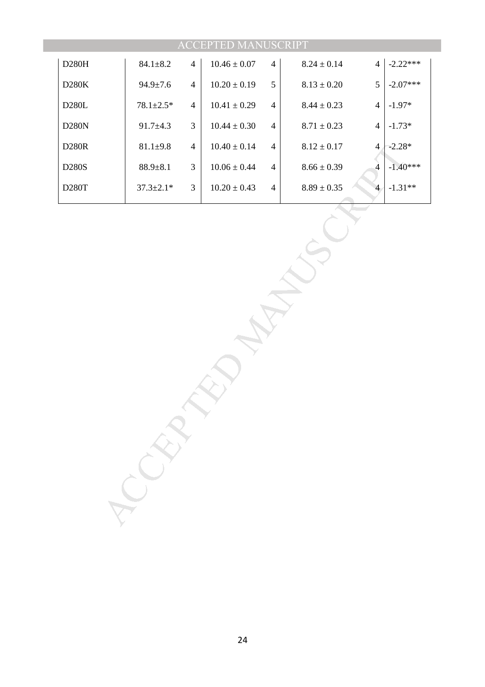|                  |                 |                | <b>ACCEPTED MANUSCRIPT</b> |                |                 |                              |
|------------------|-----------------|----------------|----------------------------|----------------|-----------------|------------------------------|
| $D280\mathrm{H}$ | $84.1 \pm 8.2$  | $\overline{4}$ | $10.46\pm0.07$             | $\overline{4}$ | $8.24\pm0.14$   | $-2.22***$<br>$\overline{4}$ |
| D280K            | $94.9 \pm 7.6$  | $\overline{4}$ | $10.20\pm0.19$             | $\mathfrak s$  | $8.13\pm0.20$   | $-2.07***$<br>$\mathfrak s$  |
| D280L            | $78.1 \pm 2.5*$ | $\overline{4}$ | $10.41\pm0.29$             | $\overline{4}$ | $8.44\pm0.23$   | $-1.97*$<br>$\overline{4}$   |
| D280N            | $91.7 + 4.3$    | $\mathfrak{Z}$ | $10.44 \pm 0.30$           | $\overline{4}$ | $8.71\pm0.23$   | $-1.73*$<br>$\overline{4}$   |
| $D280R$          | $81.1 \pm 9.8$  | $\overline{4}$ | $10.40\pm0.14$             | $\overline{4}$ | $8.12\pm0.17$   | $-2.28*$<br>$\overline{4}$   |
| D280S            | $88.9 + 8.1$    | $\mathfrak{Z}$ | $10.06 \pm 0.44$           | $\overline{4}$ | $8.66 \pm 0.39$ | $-1.40***$<br>$\overline{4}$ |
| $D280T$          | $37.3 \pm 2.1*$ | 3              | $10.20 \pm 0.43$           | $\overline{4}$ | $8.89\pm0.35$   | $-1.31**$<br>$\overline{4}$  |
|                  | RAY             |                |                            |                |                 |                              |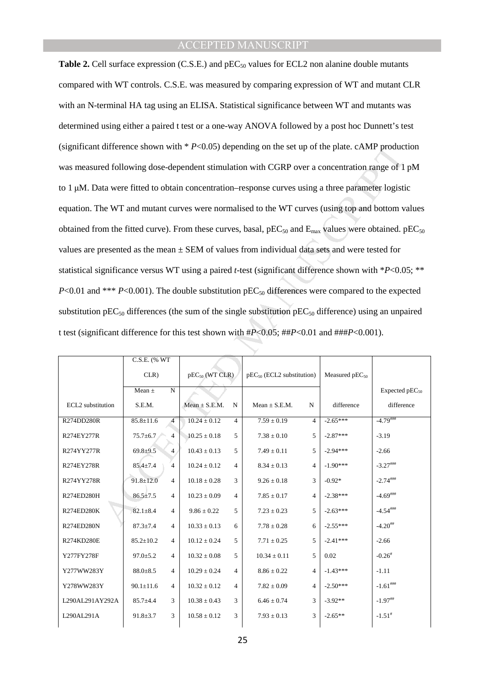difference shown with *P*-C0.05) depending on the set up of the plate. cAMP product<br>ed following dose-dependent stimulation with CGRP over a concentration range of 1<br>ta were fitted to obtain concentration-response curves **Table 2.** Cell surface expression (C.S.E.) and pEC<sub>50</sub> values for ECL2 non alanine double mutants compared with WT controls. C.S.E. was measured by comparing expression of WT and mutant CLR with an N-terminal HA tag using an ELISA. Statistical significance between WT and mutants was determined using either a paired t test or a one-way ANOVA followed by a post hoc Dunnett's test (significant difference shown with \* *P*<0.05) depending on the set up of the plate. cAMP production was measured following dose-dependent stimulation with CGRP over a concentration range of 1 pM to 1 µM. Data were fitted to obtain concentration–response curves using a three parameter logistic equation. The WT and mutant curves were normalised to the WT curves (using top and bottom values obtained from the fitted curve). From these curves, basal,  $pEC_{50}$  and  $E_{\text{max}}$  values were obtained.  $pEC_{50}$ values are presented as the mean  $\pm$  SEM of values from individual data sets and were tested for statistical significance versus WT using a paired *t*-test (significant difference shown with \**P*<0.05; \*\* *P*<0.01 and \*\*\* *P*<0.001). The double substitution  $pEC_{50}$  differences were compared to the expected substitution  $pEC_{50}$  differences (the sum of the single substitution  $pEC_{50}$  difference) using an unpaired t test (significant difference for this test shown with #*P*<0.05; ##*P*<0.01 and ###*P*<0.001).

|                   | C.S.E. (% WT    |                |                     |                |                                |                |                     |                        |  |  |
|-------------------|-----------------|----------------|---------------------|----------------|--------------------------------|----------------|---------------------|------------------------|--|--|
|                   | CLR)            |                | $pEC_{50}$ (WT CLR) |                | $pEC_{50}$ (ECL2 substitution) |                | Measured $pEC_{50}$ |                        |  |  |
|                   | Mean $\pm$      | $\mathbf N$    |                     |                |                                |                |                     | Expected $pEC_{50}$    |  |  |
| ECL2 substitution | S.E.M.          |                | $Mean \pm S.E.M.$   | N              | $Mean \pm S.E.M.$              | N              | difference          | difference             |  |  |
| R274DD280R        | $85.8 \pm 11.6$ | 4              | $10.24 \pm 0.12$    | 4              | $7.59 \pm 0.19$                | $\overline{4}$ | $-2.65***$          | $-4.79$                |  |  |
| R274EY277R        | $75.7 \pm 6.7$  | $\overline{4}$ | $10.25 \pm 0.18$    | 5              | $7.38 \pm 0.10$                | 5              | $-2.87***$          | $-3.19$                |  |  |
| R274YY277R        | $69.8 + 9.5$    | $\overline{4}$ | $10.43 \pm 0.13$    | 5              | $7.49 \pm 0.11$                | $\overline{5}$ | $-2.94***$          | $-2.66$                |  |  |
| R274EY278R        | $85.4 \pm 7.4$  | $\overline{4}$ | $10.24 \pm 0.12$    | $\overline{4}$ | $8.34 \pm 0.13$                | $\overline{4}$ | $-1.90***$          | $-3.27***$             |  |  |
| R274YY278R        | $91.8 \pm 12.0$ | $\overline{4}$ | $10.18 \pm 0.28$    | 3              | $9.26 \pm 0.18$                | 3              | $-0.92*$            | $-2.74$ ****           |  |  |
| R274ED280H        | $86.5 \pm 7.5$  | 4              | $10.23 \pm 0.09$    | 4              | $7.85 \pm 0.17$                | $\overline{4}$ | $-2.38***$          | $-4.69$ ###            |  |  |
| R274ED280K        | $82.1 \pm 8.4$  | 4              | $9.86 \pm 0.22$     | 5              | $7.23 \pm 0.23$                | 5              | $-2.63***$          | $-4.54***$             |  |  |
| R274ED280N        | $87.3 \pm 7.4$  | $\overline{4}$ | $10.33 \pm 0.13$    | 6              | $7.78 \pm 0.28$                | 6              | $-2.55***$          | $-4.20$ ##             |  |  |
| R274KD280E        | $85.2 \pm 10.2$ | $\overline{4}$ | $10.12 \pm 0.24$    | 5              | $7.71 \pm 0.25$                | 5              | $-2.41***$          | $-2.66$                |  |  |
| Y277FY278F        | $97.0 \pm 5.2$  | $\overline{4}$ | $10.32 \pm 0.08$    | 5              | $10.34 \pm 0.11$               | 5              | 0.02                | $-0.26$ <sup>#</sup>   |  |  |
| Y277WW283Y        | $88.0 \pm 8.5$  | $\overline{4}$ | $10.29 \pm 0.24$    | $\overline{4}$ | $8.86 \pm 0.22$                | $\overline{4}$ | $-1.43***$          | $-1.11$                |  |  |
| Y278WW283Y        | $90.1 \pm 11.6$ | $\overline{4}$ | $10.32 \pm 0.12$    | $\overline{4}$ | $7.82\pm0.09$                  | $\overline{4}$ | $-2.50***$          | $-1.61^{\textit{HHH}}$ |  |  |
| L290AL291AY292A   | $85.7 + 4.4$    | 3              | $10.38 \pm 0.43$    | 3              | $6.46 \pm 0.74$                | 3              | $-3.92**$           | $-1.97$ ##             |  |  |
| L290AL291A        | $91.8 \pm 3.7$  | 3              | $10.58 \pm 0.12$    | 3              | $7.93 \pm 0.13$                | 3              | $-2.65**$           | $-1.51$ <sup>#</sup>   |  |  |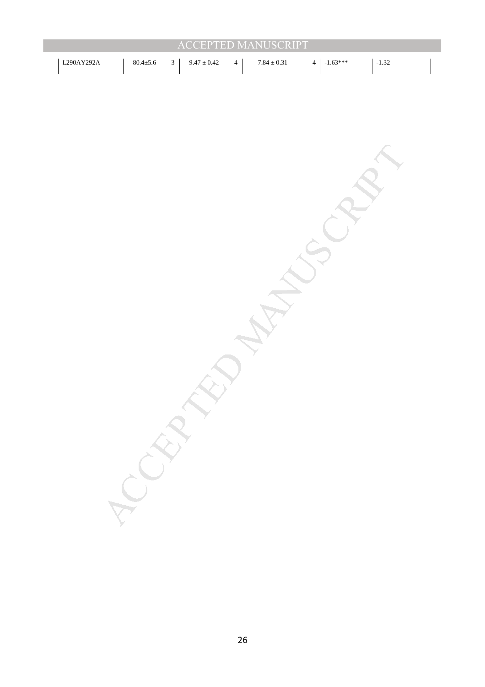| <b>ACCEPTED MANUSCRIPT</b> |                |  |                 |                |                 |  |            |         |  |  |  |  |
|----------------------------|----------------|--|-----------------|----------------|-----------------|--|------------|---------|--|--|--|--|
| L290AY292A                 | $80.4 \pm 5.6$ |  | $9.47 \pm 0.42$ | $\overline{4}$ | $7.84 \pm 0.31$ |  | $-1.63***$ | $-1.32$ |  |  |  |  |

MANUSCRIPT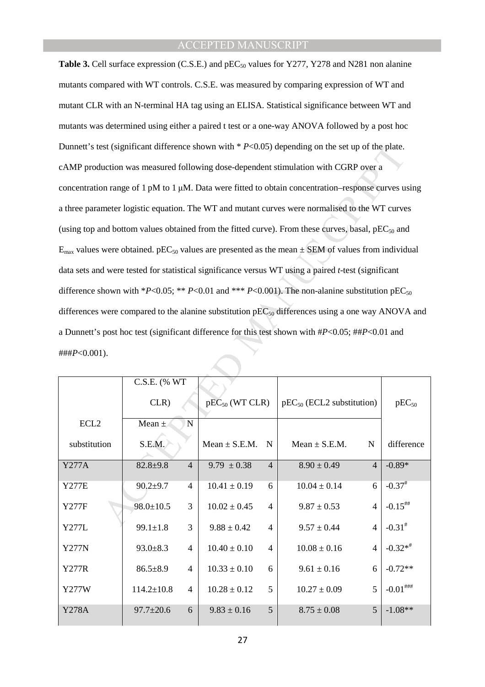11.18.28.19.8 (Significant difference shown with \*  $P<0.05$ ) depending on the set up of the plate.<br>
uction was measured following dose-dependent stimulation with CGRP over a<br>
2011 and a set up of the MT and mutant curves **Table 3.** Cell surface expression (C.S.E.) and pEC<sub>50</sub> values for Y277, Y278 and N281 non alanine mutants compared with WT controls. C.S.E. was measured by comparing expression of WT and mutant CLR with an N-terminal HA tag using an ELISA. Statistical significance between WT and mutants was determined using either a paired t test or a one-way ANOVA followed by a post hoc Dunnett's test (significant difference shown with \* *P*<0.05) depending on the set up of the plate. cAMP production was measured following dose-dependent stimulation with CGRP over a concentration range of 1 pM to 1 µM. Data were fitted to obtain concentration–response curves using a three parameter logistic equation. The WT and mutant curves were normalised to the WT curves (using top and bottom values obtained from the fitted curve). From these curves, basal,  $pEC_{50}$  and  $E_{\text{max}}$  values were obtained. pEC<sub>50</sub> values are presented as the mean  $\pm$  SEM of values from individual data sets and were tested for statistical significance versus WT using a paired *t*-test (significant difference shown with \**P*<0.05; \*\* *P*<0.01 and \*\*\* *P*<0.001). The non-alanine substitution  $pEC_{50}$ differences were compared to the alanine substitution  $pEC_{50}$  differences using a one way ANOVA and a Dunnett's post hoc test (significant difference for this test shown with #*P*<0.05; ##*P*<0.01 and ###*P*<0.001).

|                  | C.S.E. (% WT                             |                                    |                                    |                      |
|------------------|------------------------------------------|------------------------------------|------------------------------------|----------------------|
|                  | CLR)                                     | $pEC_{50}$ (WT CLR)                | $pEC_{50}$ (ECL2 substitution)     | $pEC_{50}$           |
| ECL <sub>2</sub> | N<br>Mean $\pm$                          |                                    |                                    |                      |
| substitution     | S.E.M.                                   | $Mean \pm S.E.M.$<br>$\mathbf N$   | Mean $\pm$ S.E.M.<br>N             | difference           |
| <b>Y277A</b>     | $\overline{4}$<br>$82.8 + 9.8$           | $9.79 \pm 0.38$<br>$\overline{4}$  | $8.90 \pm 0.49$<br>$\overline{4}$  | $-0.89*$             |
| Y277E            | $90.2 + 9.7$<br>$\overline{\mathcal{A}}$ | $10.41 \pm 0.19$<br>6              | $10.04 \pm 0.14$<br>6              | $-0.37$ <sup>#</sup> |
| Y277F            | 3<br>$98.0 \pm 10.5$                     | $10.02 \pm 0.45$<br>$\overline{4}$ | $\overline{4}$<br>$9.87 \pm 0.53$  | $-0.15$ ##           |
| Y277L            | 3<br>$99.1 \pm 1.8$                      | $9.88 \pm 0.42$<br>$\overline{4}$  | $9.57 \pm 0.44$<br>$\overline{4}$  | $-0.31^{*}$          |
| <b>Y277N</b>     | $93.0 \pm 8.3$<br>4                      | $10.40 \pm 0.10$<br>$\overline{4}$ | $10.08 \pm 0.16$<br>$\overline{4}$ | $-0.32**$            |
| <b>Y277R</b>     | $86.5 \pm 8.9$<br>4                      | $10.33 \pm 0.10$<br>6              | $9.61 \pm 0.16$<br>6               | $-0.72**$            |
| Y277W            | $114.2 \pm 10.8$<br>$\overline{4}$       | $10.28 \pm 0.12$<br>5              | 5<br>$10.27 \pm 0.09$              | $-0.01$ ###          |
| <b>Y278A</b>     | $97.7 \pm 20.6$<br>6                     | $9.83 \pm 0.16$<br>5               | $\overline{5}$<br>$8.75 \pm 0.08$  | $-1.08**$            |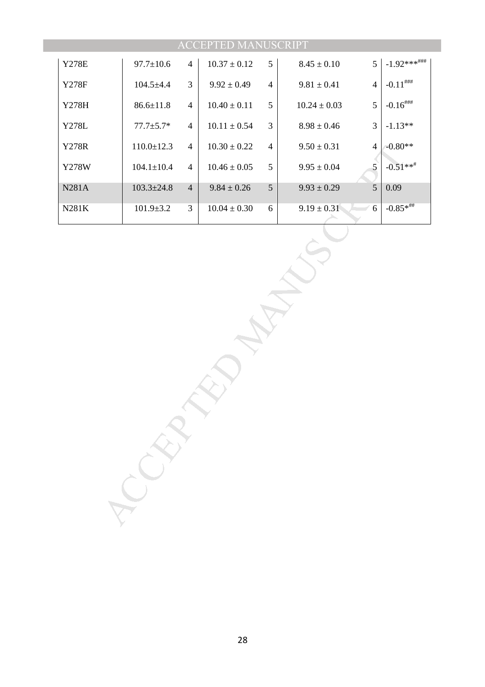|                  |                  |                | <b>ACCEPTED MANUSCRIPT</b> |                |                 |                          |                                                      |
|------------------|------------------|----------------|----------------------------|----------------|-----------------|--------------------------|------------------------------------------------------|
| <b>Y278E</b>     | $97.7 \pm 10.6$  | $\overline{4}$ | $10.37\pm0.12$             | $\mathfrak{S}$ | $8.45 \pm 0.10$ | 5                        | $-1.92***^{\text{\#}\text{\#}\text{\#}}$             |
| <b>Y278F</b>     | $104.5 + 4.4$    | 3              | $9.92 \pm 0.49$            | $\overline{4}$ | $9.81\pm0.41$   | $\overline{4}$           | $\text{-}0.11^{\text{\#}\text{\#}\text{\#}}$         |
| Y278H            | $86.6 \pm 11.8$  | $\overline{4}$ | $10.40\pm0.11$             | $\sqrt{5}$     | $10.24\pm0.03$  | 5                        | $\textbf{-0.16}^{\textit{}\# \textit{}\# \textit{}}$ |
| <b>Y278L</b>     | $77.7 \pm 5.7*$  | $\overline{4}$ | $10.11 \pm 0.54$           | $\mathfrak{Z}$ | $8.98\pm0.46$   | 3                        | $-1.13**$                                            |
| <b>Y278R</b>     | $110.0 \pm 12.3$ | $\overline{4}$ | $10.30 \pm 0.22$           | $\overline{4}$ | $9.50 \pm 0.31$ | $\overline{\mathcal{A}}$ | $-0.80**$                                            |
| <b>Y278W</b>     | $104.1 \pm 10.4$ | $\overline{4}$ | $10.46\pm0.05$             | $\mathfrak s$  | $9.95 \pm 0.04$ | $\mathfrak{S}$           | $-0.51**$                                            |
| N281A            | $103.3 \pm 24.8$ | $\overline{4}$ | $9.84 \pm 0.26$            | 5              | $9.93 \pm 0.29$ | 5                        | 0.09                                                 |
| $N281\mathrm{K}$ | $101.9 \pm 3.2$  | $\mathfrak{Z}$ | $10.04 \pm 0.30$           | 6              | $9.19 \pm 0.31$ | $\sqrt{6}$               | $-0.85**$ ##                                         |
|                  |                  |                |                            |                |                 |                          |                                                      |

28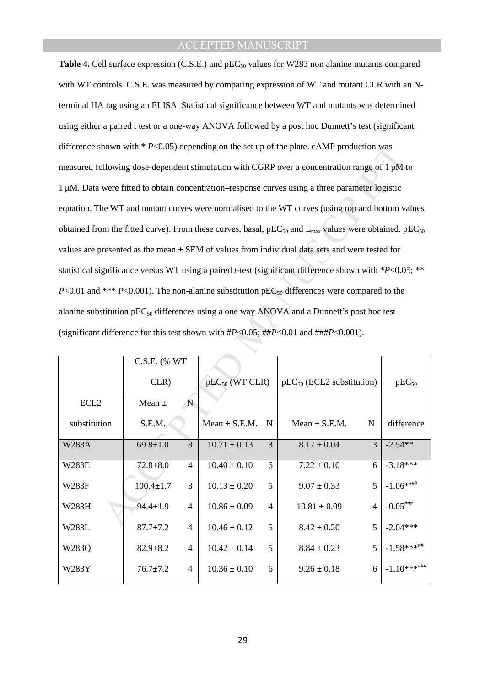hown with \* *P*<0.05) depending on the set up of the plate. cAMP production was<br>
bilowing dose-dependent stimulation with CGRP over a concentration range of 1 pM i<br>
were fitted to obtain concentration-response curves usin **Table 4.** Cell surface expression (C.S.E.) and pEC<sub>50</sub> values for W283 non alanine mutants compared with WT controls. C.S.E. was measured by comparing expression of WT and mutant CLR with an Nterminal HA tag using an ELISA. Statistical significance between WT and mutants was determined using either a paired t test or a one-way ANOVA followed by a post hoc Dunnett's test (significant difference shown with  $* P<0.05$ ) depending on the set up of the plate. cAMP production was measured following dose-dependent stimulation with CGRP over a concentration range of 1 pM to 1 µM. Data were fitted to obtain concentration–response curves using a three parameter logistic equation. The WT and mutant curves were normalised to the WT curves (using top and bottom values obtained from the fitted curve). From these curves, basal,  $pEC_{50}$  and  $E_{\text{max}}$  values were obtained.  $pEC_{50}$ values are presented as the mean  $\pm$  SEM of values from individual data sets and were tested for statistical significance versus WT using a paired *t*-test (significant difference shown with \**P*<0.05; \*\* *P*<0.01 and \*\*\* *P*<0.001). The non-alanine substitution  $pEC_{50}$  differences were compared to the alanine substitution  $pEC_{50}$  differences using a one way ANOVA and a Dunnett's post hoc test (significant difference for this test shown with #*P*<0.05; ##*P*<0.01 and ###*P*<0.001).

|                  | C.S.E. (% WT    |                          |                     |                |                                |                |                 |
|------------------|-----------------|--------------------------|---------------------|----------------|--------------------------------|----------------|-----------------|
|                  | CLR)            |                          | $pEC_{50}$ (WT CLR) |                | $pEC_{50}$ (ECL2 substitution) |                | $pEC_{50}$      |
| ECL <sub>2</sub> | N<br>Mean $\pm$ |                          |                     |                |                                |                |                 |
| substitution     | S.E.M.          |                          | $Mean \pm S.E.M.$   | $\mathbf N$    | Mean $\pm$ S.E.M.              | N              | difference      |
| W283A            | $69.8 \pm 1.0$  | 3                        | $10.71 \pm 0.13$    | 3              | $8.17 \pm 0.04$                | $\mathcal{R}$  | $-2.54**$       |
| W283E            | $72.8 + 8.0$    | $\overline{\mathcal{A}}$ | $10.40 \pm 0.10$    | 6              | $7.22 \pm 0.10$                | 6              | $-3.18***$      |
| W283F            | $100.4 \pm 1.7$ | 3                        | $10.13 \pm 0.20$    | 5              | $9.07 \pm 0.33$                | 5              | $-1.06**$ ###   |
| W283H            | $94.4 \pm 1.9$  | $\overline{\mathcal{A}}$ | $10.86 \pm 0.09$    | $\overline{4}$ | $10.81 \pm 0.09$               | $\overline{4}$ | $-0.05$ ###     |
| W283L            | $87.7 \pm 7.2$  | 4                        | $10.46 \pm 0.12$    | 5              | $8.42 \pm 0.20$                | 5              | $-2.04***$      |
| W283Q            | $82.9 \pm 8.2$  | 4                        | $10.42 \pm 0.14$    | 5              | $8.84 \pm 0.23$                | 5              | $-1.58***$ ##   |
| W283Y            | $76.7 \pm 7.2$  | 4                        | $10.36 \pm 0.10$    | 6              | $9.26 \pm 0.18$                | 6              | $-1.10***$ #### |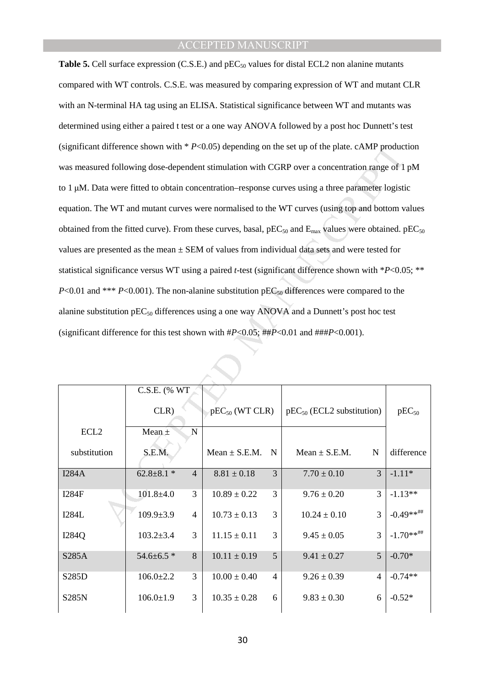difference shown with \*P<0.05) depending on the set up of the plate. cAMP producted following dose-dependent simulation with CGRP over a concentration range of 1<br>ta were fitted to obtain concentration-response curves usin **Table 5.** Cell surface expression (C.S.E.) and pEC<sub>50</sub> values for distal ECL2 non alanine mutants compared with WT controls. C.S.E. was measured by comparing expression of WT and mutant CLR with an N-terminal HA tag using an ELISA. Statistical significance between WT and mutants was determined using either a paired t test or a one way ANOVA followed by a post hoc Dunnett's test (significant difference shown with \* *P*<0.05) depending on the set up of the plate. cAMP production was measured following dose-dependent stimulation with CGRP over a concentration range of 1 pM to 1 µM. Data were fitted to obtain concentration–response curves using a three parameter logistic equation. The WT and mutant curves were normalised to the WT curves (using top and bottom values obtained from the fitted curve). From these curves, basal,  $pEC_{50}$  and  $E_{\text{max}}$  values were obtained.  $pEC_{50}$ values are presented as the mean  $\pm$  SEM of values from individual data sets and were tested for statistical significance versus WT using a paired *t*-test (significant difference shown with \**P*<0.05; \*\* *P*<0.01 and \*\*\* *P*<0.001). The non-alanine substitution  $pEC_{50}$  differences were compared to the alanine substitution  $pEC_{50}$  differences using a one way ANOVA and a Dunnett's post hoc test (significant difference for this test shown with #*P*<0.05; ##*P*<0.01 and ###*P*<0.001).

|                  | C.S.E. (% WT)    |                |                     |                |                                |                |              |
|------------------|------------------|----------------|---------------------|----------------|--------------------------------|----------------|--------------|
|                  | CLR)             |                | $pEC_{50}$ (WT CLR) |                | $pEC_{50}$ (ECL2 substitution) | $pEC_{50}$     |              |
| ECL <sub>2</sub> | Mean $\pm$       | N              |                     |                |                                |                |              |
| substitution     | S.E.M.           |                | $Mean \pm S.E.M.$   | $\mathbf N$    | Mean $\pm$ S.E.M.              | N              | difference   |
| I284A            | $62.8 \pm 8.1$ * | $\overline{4}$ | $8.81 \pm 0.18$     | 3              | $7.70 \pm 0.10$                | 3              | $-1.11*$     |
| <b>I284F</b>     | $101.8 \pm 4.0$  | 3              | $10.89 \pm 0.22$    | 3              | $9.76 \pm 0.20$                | 3              | $-1.13**$    |
| <b>I284L</b>     | $109.9 \pm 3.9$  | $\overline{4}$ | $10.73 \pm 0.13$    | 3              | $10.24 \pm 0.10$               | 3              | $-0.49**$ ## |
| I284Q            | $103.2 \pm 3.4$  | 3              | $11.15 \pm 0.11$    | 3              | $9.45 \pm 0.05$                | 3              | $-1.70**$ ## |
| S285A            | $54.6 \pm 6.5$ * | 8              | $10.11 \pm 0.19$    | 5              | $9.41 \pm 0.27$                | 5              | $-0.70*$     |
| S285D            | $106.0 \pm 2.2$  | 3              | $10.00 \pm 0.40$    | $\overline{4}$ | $9.26 \pm 0.39$                | $\overline{4}$ | $-0.74**$    |
| <b>S285N</b>     | $106.0 \pm 1.9$  | 3              | $10.35 \pm 0.28$    | 6              | $9.83 \pm 0.30$                | 6              | $-0.52*$     |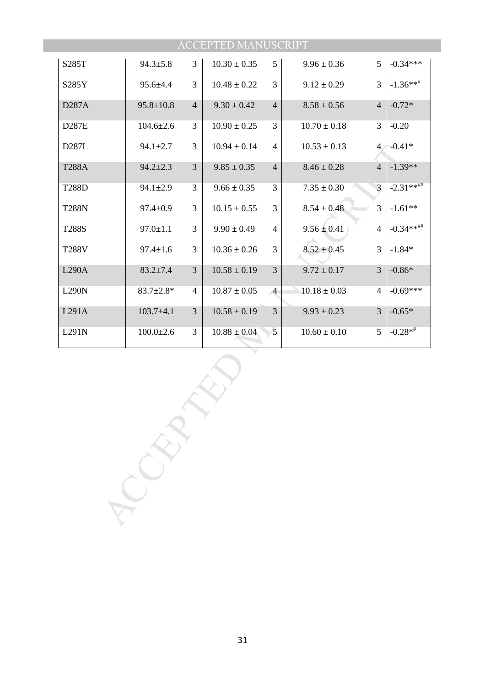|              |                 |                | <b>ACCEPTED MANUSCRIPT</b> |                |                  |                |                       |
|--------------|-----------------|----------------|----------------------------|----------------|------------------|----------------|-----------------------|
| S285T        | $94.3 \pm 5.8$  | 3              | $10.30 \pm 0.35$           | 5              | $9.96 \pm 0.36$  | 5              | $-0.34***$            |
| S285Y        | $95.6 \pm 4.4$  | 3              | $10.48 \pm 0.22$           | 3              | $9.12 \pm 0.29$  | 3              | $-1.36***$ #          |
| D287A        | $95.8 \pm 10.8$ | $\overline{4}$ | $9.30 \pm 0.42$            | $\overline{4}$ | $8.58 \pm 0.56$  | $\overline{4}$ | $-0.72*$              |
| D287E        | $104.6{\pm}2.6$ | 3              | $10.90 \pm 0.25$           | 3              | $10.70 \pm 0.18$ | 3              | $-0.20$               |
| D287L        | $94.1 \pm 2.7$  | 3              | $10.94 \pm 0.14$           | $\overline{4}$ | $10.53 \pm 0.13$ | $\overline{4}$ | $-0.41*$              |
| <b>T288A</b> | $94.2 \pm 2.3$  | 3              | $9.85 \pm 0.35$            | $\overline{4}$ | $8.46 \pm 0.28$  | $\overline{4}$ | $-1.39**$             |
| <b>T288D</b> | $94.1 \pm 2.9$  | 3              | $9.66 \pm 0.35$            | 3              | $7.35 \pm 0.30$  | 3              | $-2.31***$ ##         |
| <b>T288N</b> | $97.4 \pm 0.9$  | 3              | $10.15 \pm 0.55$           | $\overline{3}$ | $8.54 \pm 0.48$  | 3              | $-1.61**$             |
| <b>T288S</b> | $97.0 \pm 1.1$  | 3              | $9.90 \pm 0.49$            | $\overline{4}$ | $9.56 \pm 0.41$  | $\overline{4}$ | $-0.34**^{+\!+\!+\!}$ |
| <b>T288V</b> | $97.4 \pm 1.6$  | 3              | $10.36 \pm 0.26$           | 3              | $8.52 \pm 0.45$  | 3              | $-1.84*$              |
| L290A        | $83.2 \pm 7.4$  | 3              | $10.58 \pm 0.19$           | 3              | $9.72 \pm 0.17$  | 3              | $-0.86*$              |
| <b>L290N</b> | $83.7 \pm 2.8*$ | $\overline{4}$ | $10.87 \pm 0.05$           | $\overline{4}$ | $10.18 \pm 0.03$ | $\overline{4}$ | $-0.69***$            |
| L291A        | $103.7 + 4.1$   | 3              | $10.58 \pm 0.19$           | $\mathfrak{Z}$ | $9.93 \pm 0.23$  | 3              | $-0.65*$              |
| L291N        | $100.0 \pm 2.6$ | 3              | $10.88 \pm 0.04$           | 5              | $10.60 \pm 0.10$ | 5              | $-0.28**$             |
|              |                 |                |                            |                |                  |                |                       |
|              |                 |                |                            |                |                  |                |                       |
|              |                 |                |                            |                |                  |                |                       |
|              |                 |                |                            |                |                  |                |                       |
|              |                 |                |                            |                |                  |                |                       |
|              |                 |                |                            |                |                  |                |                       |
|              |                 |                |                            |                |                  |                |                       |
|              |                 |                |                            |                |                  |                |                       |
|              |                 |                |                            |                |                  |                |                       |
|              |                 |                |                            |                |                  |                |                       |
|              |                 |                |                            |                |                  |                |                       |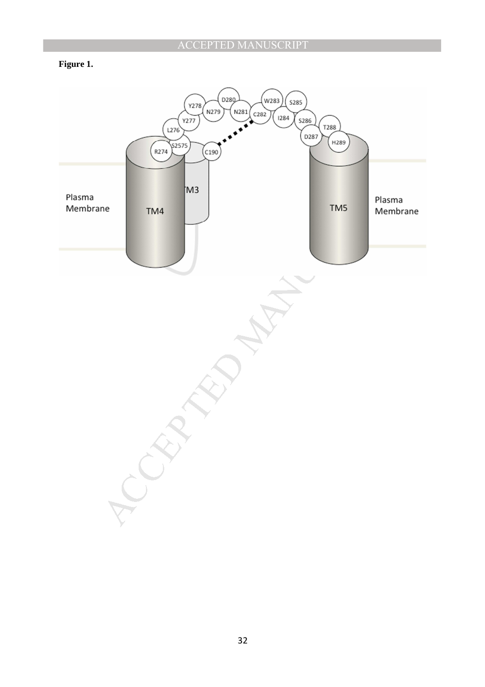## **Figure 1.**

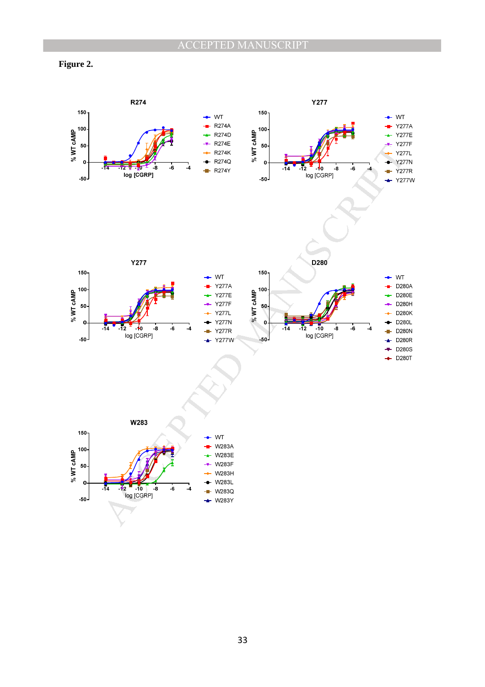

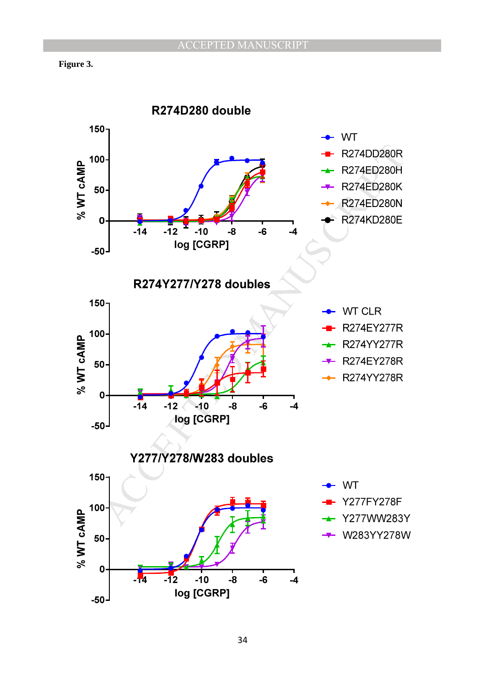

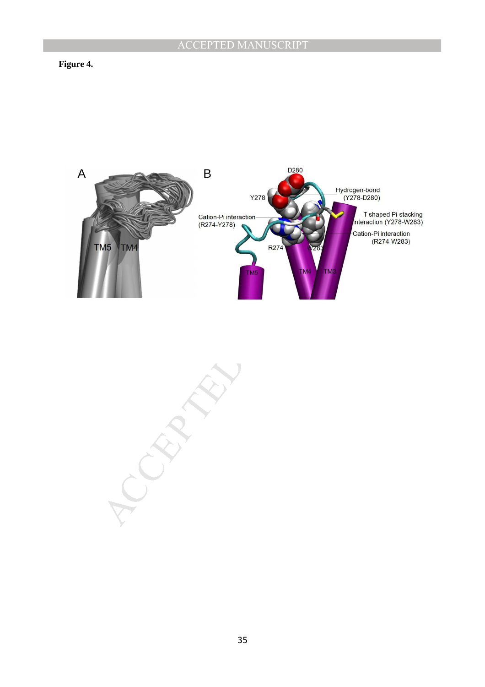### **Figure 4.**



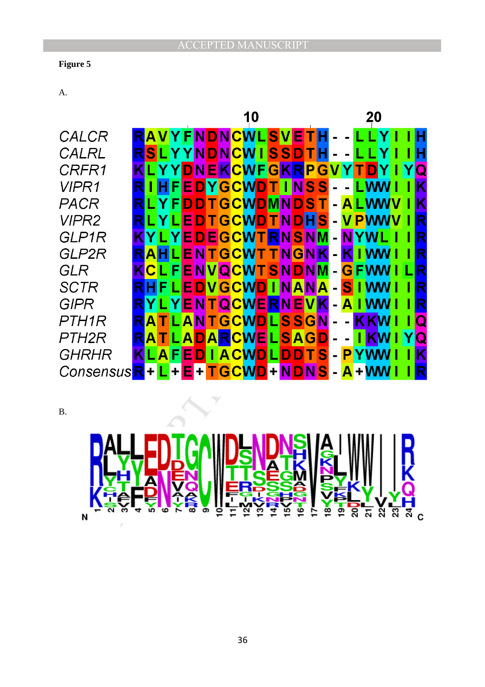## **Figure 5**

A.

|              |                         |                 |   |                     | 10 |  |  |  |       |  |     |  |               | 20 |  |  |                         |  |  |  |  |
|--------------|-------------------------|-----------------|---|---------------------|----|--|--|--|-------|--|-----|--|---------------|----|--|--|-------------------------|--|--|--|--|
| CALCR        | RAVYFNDNCWLSVET         |                 |   |                     |    |  |  |  |       |  |     |  |               |    |  |  |                         |  |  |  |  |
| CALRL        | RSLYYNDNCWISSDTH        |                 |   |                     |    |  |  |  |       |  |     |  |               |    |  |  | н                       |  |  |  |  |
| CRFR1        | KLYYDNEKCWFGKRPG        |                 |   |                     |    |  |  |  |       |  |     |  |               |    |  |  | $\overline{\mathsf{Q}}$ |  |  |  |  |
| <b>VIPR1</b> | RIHFEDYGCWDTINSS        |                 |   |                     |    |  |  |  |       |  |     |  | <b>LWW</b>    |    |  |  | Κ                       |  |  |  |  |
| PACR         | <b>RLYFDDTGCWDMNDS</b>  |                 |   |                     |    |  |  |  |       |  |     |  |               |    |  |  | K                       |  |  |  |  |
| <b>VIPR2</b> |                         | LYLEDTGCWDTNDHS |   |                     |    |  |  |  |       |  |     |  | <b>V PWWV</b> |    |  |  | R                       |  |  |  |  |
| GLP1R        | KYLY                    |                 |   | <b>EDEGCWTRNSNM</b> |    |  |  |  |       |  |     |  | <b>NYWI</b>   |    |  |  | R                       |  |  |  |  |
| GLP2R        | RAHLENTGCWTTNGNK        |                 |   |                     |    |  |  |  |       |  | K   |  | <b>I</b> WW   |    |  |  | $\overline{\mathsf{R}}$ |  |  |  |  |
| GLR          | <b>KCLFENVQCWTSNDNM</b> |                 |   |                     |    |  |  |  |       |  | G   |  | <b>FWW</b>    |    |  |  | R                       |  |  |  |  |
| <b>SCTR</b>  | RHFLEDVGCWDINANA        |                 |   |                     |    |  |  |  |       |  | SI. |  | <b>I WW</b>   |    |  |  | R                       |  |  |  |  |
| <b>GIPR</b>  | RYLYENTQCWE             |                 |   |                     |    |  |  |  | RNEVK |  | A   |  | I WW          |    |  |  | $\overline{\mathsf{R}}$ |  |  |  |  |
| PTH1R        | RATLANTGCWDLSSGN        |                 |   |                     |    |  |  |  |       |  |     |  | <b>KKW</b>    |    |  |  | Q                       |  |  |  |  |
| PTH2R        | RATLADARCWELSAGD        |                 |   |                     |    |  |  |  |       |  |     |  | <b>I KW I</b> |    |  |  | $\overline{\mathsf{Q}}$ |  |  |  |  |
| GHRHR        | <b>KLAFEDIACWDLDDTS</b> |                 |   |                     |    |  |  |  |       |  | P   |  | <b>YWW</b>    |    |  |  | l <mark>K</mark>        |  |  |  |  |
| ConsensusR+  |                         | L + E + I       |   | TGCWD+NDNS          |    |  |  |  |       |  |     |  | $A + W W$     |    |  |  | $\overline{\mathsf{R}}$ |  |  |  |  |
| <b>B.</b>    |                         |                 |   |                     |    |  |  |  |       |  |     |  |               |    |  |  |                         |  |  |  |  |
|              |                         |                 |   |                     |    |  |  |  |       |  |     |  |               |    |  |  |                         |  |  |  |  |
| N            |                         |                 | ග |                     |    |  |  |  |       |  |     |  |               |    |  |  |                         |  |  |  |  |

B.